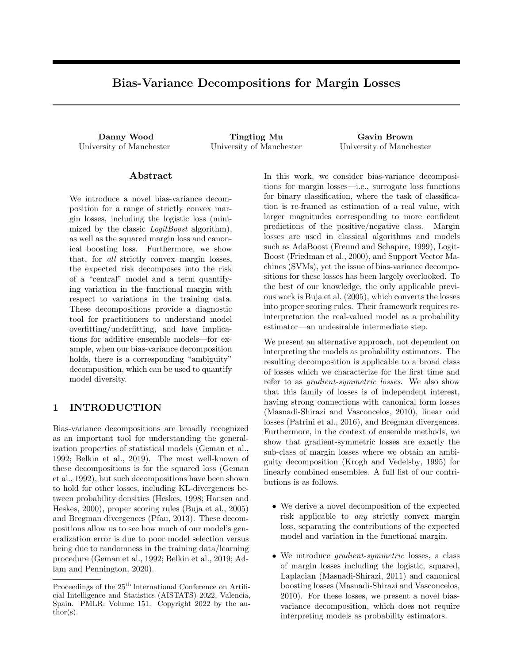# Bias-Variance Decompositions for Margin Losses

Danny Wood Tingting Mu Gavin Brown University of Manchester University of Manchester University of Manchester

### Abstract

We introduce a novel bias-variance decomposition for a range of strictly convex margin losses, including the logistic loss (minimized by the classic *LogitBoost* algorithm), as well as the squared margin loss and canonical boosting loss. Furthermore, we show that, for all strictly convex margin losses, the expected risk decomposes into the risk of a "central" model and a term quantifying variation in the functional margin with respect to variations in the training data. These decompositions provide a diagnostic tool for practitioners to understand model overfitting/underfitting, and have implications for additive ensemble models—for example, when our bias-variance decomposition holds, there is a corresponding "ambiguity" decomposition, which can be used to quantify model diversity.

## 1 INTRODUCTION

Bias-variance decompositions are broadly recognized as an important tool for understanding the generalization properties of statistical models (Geman et al., 1992; Belkin et al., 2019). The most well-known of these decompositions is for the squared loss (Geman et al., 1992), but such decompositions have been shown to hold for other losses, including KL-divergences between probability densities (Heskes, 1998; Hansen and Heskes, 2000), proper scoring rules (Buja et al., 2005) and Bregman divergences (Pfau, 2013). These decompositions allow us to see how much of our model's generalization error is due to poor model selection versus being due to randomness in the training data/learning procedure (Geman et al., 1992; Belkin et al., 2019; Adlam and Pennington, 2020).

In this work, we consider bias-variance decompositions for margin losses—i.e., surrogate loss functions for binary classification, where the task of classification is re-framed as estimation of a real value, with larger magnitudes corresponding to more confident predictions of the positive/negative class. Margin losses are used in classical algorithms and models such as AdaBoost (Freund and Schapire, 1999), Logit-Boost (Friedman et al., 2000), and Support Vector Machines (SVMs), yet the issue of bias-variance decompositions for these losses has been largely overlooked. To the best of our knowledge, the only applicable previous work is Buja et al. (2005), which converts the losses into proper scoring rules. Their framework requires reinterpretation the real-valued model as a probability estimator—an undesirable intermediate step.

We present an alternative approach, not dependent on interpreting the models as probability estimators. The resulting decomposition is applicable to a broad class of losses which we characterize for the first time and refer to as gradient-symmetric losses. We also show that this family of losses is of independent interest, having strong connections with canonical form losses (Masnadi-Shirazi and Vasconcelos, 2010), linear odd losses (Patrini et al., 2016), and Bregman divergences. Furthermore, in the context of ensemble methods, we show that gradient-symmetric losses are exactly the sub-class of margin losses where we obtain an ambiguity decomposition (Krogh and Vedelsby, 1995) for linearly combined ensembles. A full list of our contributions is as follows.

- We derive a novel decomposition of the expected risk applicable to any strictly convex margin loss, separating the contributions of the expected model and variation in the functional margin.
- We introduce *gradient-symmetric* losses, a class of margin losses including the logistic, squared, Laplacian (Masnadi-Shirazi, 2011) and canonical boosting losses (Masnadi-Shirazi and Vasconcelos, 2010). For these losses, we present a novel biasvariance decomposition, which does not require interpreting models as probability estimators.

Proceedings of the  $25^{\text{th}}$  International Conference on Artificial Intelligence and Statistics (AISTATS) 2022, Valencia, Spain. PMLR: Volume 151. Copyright 2022 by the au- $\text{thor}(s)$ .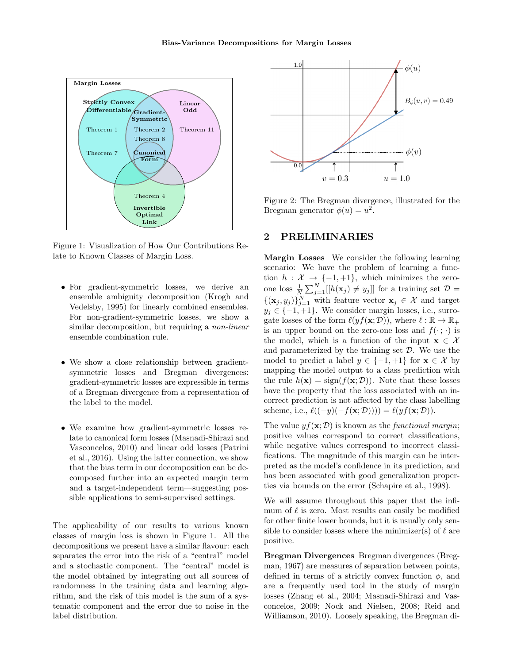

Figure 1: Visualization of How Our Contributions Relate to Known Classes of Margin Loss.

- For gradient-symmetric losses, we derive an ensemble ambiguity decomposition (Krogh and Vedelsby, 1995) for linearly combined ensembles. For non-gradient-symmetric losses, we show a similar decomposition, but requiring a *non-linear* ensemble combination rule.
- We show a close relationship between gradientsymmetric losses and Bregman divergences: gradient-symmetric losses are expressible in terms of a Bregman divergence from a representation of the label to the model.
- We examine how gradient-symmetric losses relate to canonical form losses (Masnadi-Shirazi and Vasconcelos, 2010) and linear odd losses (Patrini et al., 2016). Using the latter connection, we show that the bias term in our decomposition can be decomposed further into an expected margin term and a target-independent term—suggesting possible applications to semi-supervised settings.

The applicability of our results to various known classes of margin loss is shown in Figure 1. All the decompositions we present have a similar flavour: each separates the error into the risk of a "central" model and a stochastic component. The "central" model is the model obtained by integrating out all sources of randomness in the training data and learning algorithm, and the risk of this model is the sum of a systematic component and the error due to noise in the label distribution.



Figure 2: The Bregman divergence, illustrated for the Bregman generator  $\phi(u) = u^2$ .

## 2 PRELIMINARIES

Margin Losses We consider the following learning scenario: We have the problem of learning a function  $h: \mathcal{X} \to \{-1, +1\}$ , which minimizes the zeroone loss  $\frac{1}{N} \sum_{j=1}^{N} [[h(\mathbf{x}_j) \neq y_j]]$  for a training set  $\mathcal{D} =$  ${({\mathbf{x}}_j, y_j)}_{j=1}^N$  with feature vector  ${\mathbf{x}}_j \in \mathcal{X}$  and target  $y_i \in \{-1, +1\}$ . We consider margin losses, i.e., surrogate losses of the form  $\ell(yf(\mathbf{x}; \mathcal{D}))$ , where  $\ell : \mathbb{R} \to \mathbb{R}_+$ is an upper bound on the zero-one loss and  $f(\cdot; \cdot)$  is the model, which is a function of the input  $\mathbf{x} \in \mathcal{X}$ and parameterized by the training set  $D$ . We use the model to predict a label  $y \in \{-1, +1\}$  for  $\mathbf{x} \in \mathcal{X}$  by mapping the model output to a class prediction with the rule  $h(\mathbf{x}) = \text{sign}(f(\mathbf{x}; \mathcal{D}))$ . Note that these losses have the property that the loss associated with an incorrect prediction is not affected by the class labelling scheme, i.e.,  $\ell((-y)(-f(\mathbf{x}; \mathcal{D})))) = \ell(yf(\mathbf{x}; \mathcal{D})).$ 

The value  $y f(\mathbf{x}; \mathcal{D})$  is known as the *functional margin*; positive values correspond to correct classifications, while negative values correspond to incorrect classifications. The magnitude of this margin can be interpreted as the model's confidence in its prediction, and has been associated with good generalization properties via bounds on the error (Schapire et al., 1998).

We will assume throughout this paper that the infimum of  $\ell$  is zero. Most results can easily be modified for other finite lower bounds, but it is usually only sensible to consider losses where the minimizer(s) of  $\ell$  are positive.

Bregman Divergences Bregman divergences (Bregman, 1967) are measures of separation between points, defined in terms of a strictly convex function  $\phi$ , and are a frequently used tool in the study of margin losses (Zhang et al., 2004; Masnadi-Shirazi and Vasconcelos, 2009; Nock and Nielsen, 2008; Reid and Williamson, 2010). Loosely speaking, the Bregman di-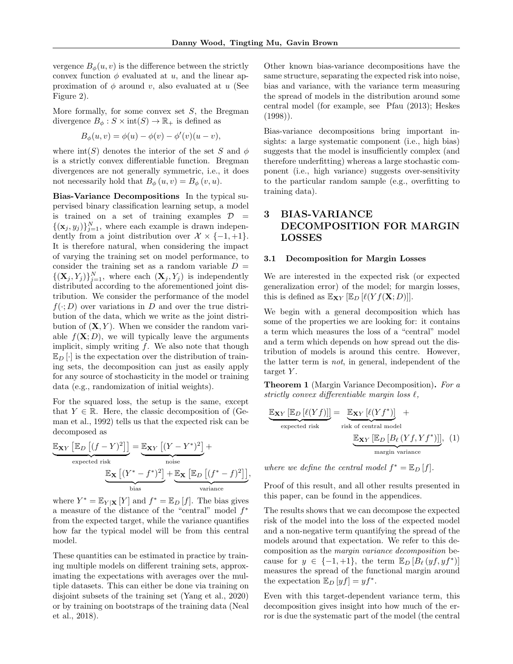vergence  $B_{\phi}(u, v)$  is the difference between the strictly convex function  $\phi$  evaluated at u, and the linear approximation of  $\phi$  around v, also evaluated at u (See Figure 2).

More formally, for some convex set  $S$ , the Bregman divergence  $B_{\phi}: S \times \text{int}(S) \to \mathbb{R}_{+}$  is defined as

$$
B_{\phi}(u, v) = \phi(u) - \phi(v) - \phi'(v)(u - v),
$$

where  $\text{int}(S)$  denotes the interior of the set S and  $\phi$ is a strictly convex differentiable function. Bregman divergences are not generally symmetric, i.e., it does not necessarily hold that  $B_{\phi}(u, v) = B_{\phi}(v, u)$ .

Bias-Variance Decompositions In the typical supervised binary classification learning setup, a model is trained on a set of training examples  $\mathcal{D}$  =  ${(\mathbf{x}_j, y_j)}_{j=1}^N$ , where each example is drawn independently from a joint distribution over  $\mathcal{X} \times \{-1, +1\}.$ It is therefore natural, when considering the impact of varying the training set on model performance, to consider the training set as a random variable  $D =$  ${(\mathbf{X}_j, Y_j)}_{j=1}^N$ , where each  $(\mathbf{X}_j, Y_j)$  is independently distributed according to the aforementioned joint distribution. We consider the performance of the model  $f(\cdot; D)$  over variations in D and over the true distribution of the data, which we write as the joint distribution of  $(X, Y)$ . When we consider the random variable  $f(\mathbf{X}; D)$ , we will typically leave the arguments implicit, simply writing  $f$ . We also note that though  $\mathbb{E}_D[\cdot]$  is the expectation over the distribution of training sets, the decomposition can just as easily apply for any source of stochasticity in the model or training data (e.g., randomization of initial weights).

For the squared loss, the setup is the same, except that  $Y \in \mathbb{R}$ . Here, the classic decomposition of (Geman et al., 1992) tells us that the expected risk can be decomposed as

$$
\underbrace{\mathbb{E}_{\mathbf{X}Y} \left[\mathbb{E}_{D} \left[ (f - Y)^{2} \right] \right]}_{\text{expected risk}} = \underbrace{\mathbb{E}_{\mathbf{X}Y} \left[ (Y - Y^{*})^{2} \right]}_{\text{noise}} +
$$
\n
$$
\underbrace{\mathbb{E}_{\mathbf{X}} \left[ (Y^{*} - f^{*})^{2} \right] + \mathbb{E}_{\mathbf{X}} \left[ \mathbb{E}_{D} \left[ (f^{*} - f)^{2} \right] \right]}_{\text{variance}},
$$

where  $Y^* = \mathbb{E}_{Y|\mathbf{X}}[Y]$  and  $f^* = \mathbb{E}_D[f]$ . The bias gives a measure of the distance of the "central" model  $f^*$ from the expected target, while the variance quantifies how far the typical model will be from this central model.

These quantities can be estimated in practice by training multiple models on different training sets, approximating the expectations with averages over the multiple datasets. This can either be done via training on disjoint subsets of the training set (Yang et al., 2020) or by training on bootstraps of the training data (Neal et al., 2018).

Other known bias-variance decompositions have the same structure, separating the expected risk into noise, bias and variance, with the variance term measuring the spread of models in the distribution around some central model (for example, see Pfau (2013); Heskes  $(1998)$ .

Bias-variance decompositions bring important insights: a large systematic component (i.e., high bias) suggests that the model is insufficiently complex (and therefore underfitting) whereas a large stochastic component (i.e., high variance) suggests over-sensitivity to the particular random sample (e.g., overfitting to training data).

## 3 BIAS-VARIANCE DECOMPOSITION FOR MARGIN LOSSES

### 3.1 Decomposition for Margin Losses

We are interested in the expected risk (or expected generalization error) of the model; for margin losses, this is defined as  $\mathbb{E}_{\mathbf{X}Y}[\mathbb{E}_D[\ell(Yf(\mathbf{X}; D))]]$ .

We begin with a general decomposition which has some of the properties we are looking for: it contains a term which measures the loss of a "central" model and a term which depends on how spread out the distribution of models is around this centre. However, the latter term is not, in general, independent of the target  $Y$ .

Theorem 1 (Margin Variance Decomposition). For a strictly convex differentiable margin loss  $\ell$ ,

$$
\underbrace{\mathbb{E}_{\mathbf{X}Y} [\mathbb{E}_D [\ell(Yf)]]}_{\text{expected risk}} = \underbrace{\mathbb{E}_{\mathbf{X}Y} [\ell(Yf^*)]}_{\text{risk of central model}} + \underbrace{\mathbb{E}_{\mathbf{X}Y} [\mathbb{E}_D [\mathcal{B}_\ell(Yf, Yf^*)]]}_{\text{margin variance}}, (1)
$$

where we define the central model  $f^* = \mathbb{E}_D[f].$ 

Proof of this result, and all other results presented in this paper, can be found in the appendices.

The results shows that we can decompose the expected risk of the model into the loss of the expected model and a non-negative term quantifying the spread of the models around that expectation. We refer to this decomposition as the margin variance decomposition because for  $y \in \{-1, +1\}$ , the term  $\mathbb{E}_D [B_\ell (y f, y f^*)]$ measures the spread of the functional margin around the expectation  $\mathbb{E}_D[yf] = yf^*$ .

Even with this target-dependent variance term, this decomposition gives insight into how much of the error is due the systematic part of the model (the central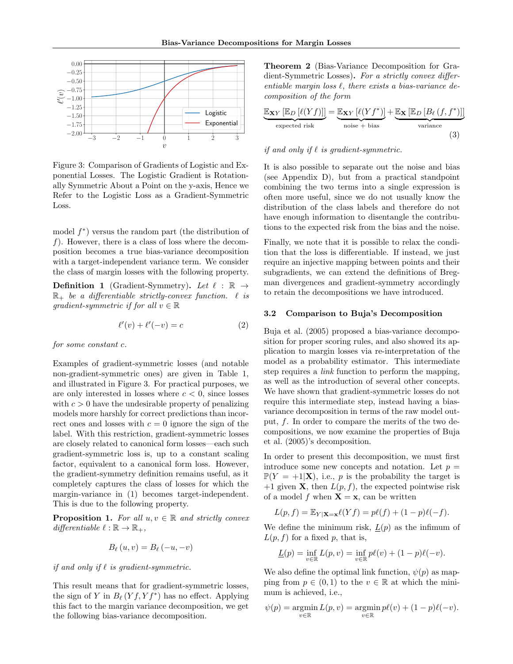

Figure 3: Comparison of Gradients of Logistic and Exponential Losses. The Logistic Gradient is Rotationally Symmetric About a Point on the y-axis, Hence we Refer to the Logistic Loss as a Gradient-Symmetric Loss.

model  $f^*$ ) versus the random part (the distribution of  $f$ ). However, there is a class of loss where the decomposition becomes a true bias-variance decomposition with a target-independent variance term. We consider the class of margin losses with the following property.

**Definition 1** (Gradient-Symmetry). Let  $\ell : \mathbb{R} \rightarrow$  $\mathbb{R}_+$  be a differentiable strictly-convex function.  $\ell$  is gradient-symmetric if for all  $v \in \mathbb{R}$ 

$$
\ell'(v) + \ell'(-v) = c \tag{2}
$$

for some constant c.

Examples of gradient-symmetric losses (and notable non-gradient-symmetric ones) are given in Table 1, and illustrated in Figure 3. For practical purposes, we are only interested in losses where  $c < 0$ , since losses with  $c > 0$  have the undesirable property of penalizing models more harshly for correct predictions than incorrect ones and losses with  $c = 0$  ignore the sign of the label. With this restriction, gradient-symmetric losses are closely related to canonical form losses—each such gradient-symmetric loss is, up to a constant scaling factor, equivalent to a canonical form loss. However, the gradient-symmetry definition remains useful, as it completely captures the class of losses for which the margin-variance in (1) becomes target-independent. This is due to the following property.

**Proposition 1.** For all  $u, v \in \mathbb{R}$  and strictly convex differentiable  $\ell : \mathbb{R} \to \mathbb{R}_+,$ 

$$
B_{\ell}(u,v) = B_{\ell}(-u,-v)
$$

if and only if  $\ell$  is gradient-symmetric.

This result means that for gradient-symmetric losses, the sign of Y in  $B_{\ell}(Yf, Yf^*)$  has no effect. Applying this fact to the margin variance decomposition, we get the following bias-variance decomposition.

Theorem 2 (Bias-Variance Decomposition for Gradient-Symmetric Losses). For a strictly convex differentiable margin loss  $\ell$ , there exists a bias-variance decomposition of the form

$$
\underbrace{\mathbb{E}_{\mathbf{X}Y} [\mathbb{E}_D [\ell(Yf)]]}_{\text{expected risk}} = \underbrace{\mathbb{E}_{\mathbf{X}Y} [\ell(Yf^*)]}_{\text{noise + bias}} + \underbrace{\mathbb{E}_{\mathbf{X} [\mathbb{E}_D [B_\ell (f, f^*)]]}_{\text{variance}}}{\text{(3)}}
$$

#### if and only if  $\ell$  is gradient-symmetric.

It is also possible to separate out the noise and bias (see Appendix D), but from a practical standpoint combining the two terms into a single expression is often more useful, since we do not usually know the distribution of the class labels and therefore do not have enough information to disentangle the contributions to the expected risk from the bias and the noise.

Finally, we note that it is possible to relax the condition that the loss is differentiable. If instead, we just require an injective mapping between points and their subgradients, we can extend the definitions of Bregman divergences and gradient-symmetry accordingly to retain the decompositions we have introduced.

### 3.2 Comparison to Buja's Decomposition

Buja et al. (2005) proposed a bias-variance decomposition for proper scoring rules, and also showed its application to margin losses via re-interpretation of the model as a probability estimator. This intermediate step requires a link function to perform the mapping, as well as the introduction of several other concepts. We have shown that gradient-symmetric losses do not require this intermediate step, instead having a biasvariance decomposition in terms of the raw model output,  $f$ . In order to compare the merits of the two decompositions, we now examine the properties of Buja et al. (2005)'s decomposition.

In order to present this decomposition, we must first introduce some new concepts and notation. Let  $p =$  $\mathbb{P}(Y = +1|\mathbf{X})$ , i.e., p is the probability the target is  $+1$  given **X**, then  $L(p, f)$ , the expected pointwise risk of a model f when  $X = x$ , can be written

$$
L(p, f) = \mathbb{E}_{Y|\mathbf{X}=\mathbf{x}} \ell(Yf) = p\ell(f) + (1-p)\ell(-f).
$$

We define the minimum risk,  $L(p)$  as the infimum of  $L(p, f)$  for a fixed p, that is,

$$
\underline{L}(p)=\inf_{v\in\mathbb{R}}L(p,v)=\inf_{v\in\mathbb{R}}p\ell(v)+(1-p)\ell(-v).
$$

We also define the optimal link function,  $\psi(p)$  as mapping from  $p \in (0,1)$  to the  $v \in \mathbb{R}$  at which the minimum is achieved, i.e.,

$$
\psi(p) = \operatorname*{argmin}_{v \in \mathbb{R}} L(p, v) = \operatorname*{argmin}_{v \in \mathbb{R}} p\ell(v) + (1 - p)\ell(-v).
$$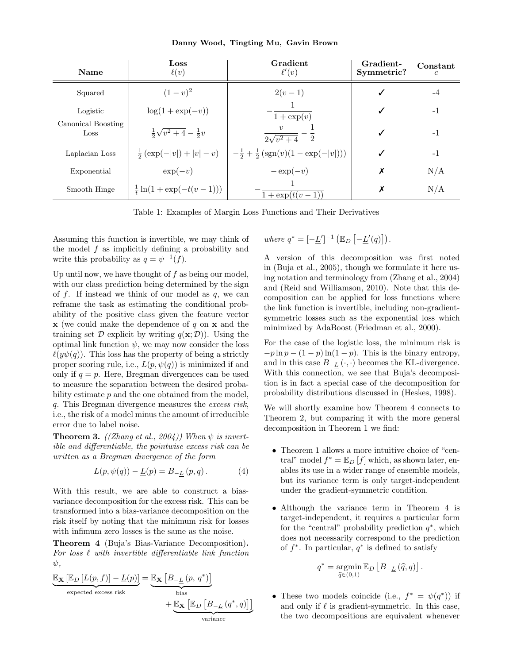Danny Wood, Tingting Mu, Gavin Brown

| <b>Name</b>                | Loss<br>$\ell(v)$                      | Gradient<br>$\ell'(v)$                             | Gradient-<br>Symmetric? | Constant<br>c |
|----------------------------|----------------------------------------|----------------------------------------------------|-------------------------|---------------|
| Squared                    | $(1-v)^2$                              | $2(v-1)$                                           |                         | -4            |
| Logistic                   | $\log(1+\exp(-v))$                     | $1 + \exp(v)$                                      |                         | $-1$          |
| Canonical Boosting<br>Loss | $\frac{1}{2}\sqrt{v^2+4}-\frac{1}{2}v$ | $\eta$<br>$2\sqrt{v^2+4}$ 2                        |                         | $-1$          |
| Laplacian Loss             | $\frac{1}{2}$ $(\exp(- v ) +  v  - v)$ | $-\frac{1}{2}+\frac{1}{2}$ (sgn(v)(1 – exp(- v ))) | ✓                       | $-1$          |
| Exponential                | $\exp(-v)$                             | $-\exp(-v)$                                        | Х                       | N/A           |
| Smooth Hinge               | $\frac{1}{t} \ln(1 + \exp(-t(v-1)))$   | $1 + \exp(t(v-1))$                                 | Х                       | N/A           |

Table 1: Examples of Margin Loss Functions and Their Derivatives

Assuming this function is invertible, we may think of the model  $f$  as implicitly defining a probability and write this probability as  $q = \psi^{-1}(f)$ .

Up until now, we have thought of  $f$  as being our model, with our class prediction being determined by the sign of  $f$ . If instead we think of our model as  $q$ , we can reframe the task as estimating the conditional probability of the positive class given the feature vector  $x$  (we could make the dependence of q on  $x$  and the training set D explicit by writing  $q(\mathbf{x}; \mathcal{D})$ . Using the optimal link function  $\psi$ , we may now consider the loss  $\ell(y\psi(q))$ . This loss has the property of being a strictly proper scoring rule, i.e.,  $L(p, \psi(q))$  is minimized if and only if  $q = p$ . Here, Bregman divergences can be used to measure the separation between the desired probability estimate p and the one obtained from the model, q. This Bregman divergence measures the excess risk, i.e., the risk of a model minus the amount of irreducible error due to label noise.

**Theorem 3.** ((Zhang et al., 2004)) When  $\psi$  is invertible and differentiable, the pointwise excess risk can be written as a Bregman divergence of the form

$$
L(p, \psi(q)) - \underline{L}(p) = B_{-\underline{L}}(p, q).
$$
 (4)

With this result, we are able to construct a biasvariance decomposition for the excess risk. This can be transformed into a bias-variance decomposition on the risk itself by noting that the minimum risk for losses with infimum zero losses is the same as the noise.

Theorem 4 (Buja's Bias-Variance Decomposition). For loss  $\ell$  with invertible differentiable link function  $\psi$ ,

$$
\underbrace{\mathbb{E}_{\mathbf{X}}\left[\mathbb{E}_{D}\left[L(p,f)\right]-\underline{L}(p)\right]}_{\text{expected excess risk}}=\underbrace{\mathbb{E}_{\mathbf{X}}\left[B_{-\underline{L}}\left(p,\,q^{*}\right)\right]}_{\text{bias}}\\+\underbrace{\mathbb{E}_{\mathbf{X}}\left[\mathbb{E}_{D}\left[B_{-\underline{L}}\left(q^{*},q\right)\right]\right]}_{\text{variance}}
$$

where 
$$
q^* = [-\underline{L}']^{-1} (\mathbb{E}_D [-\underline{L}'(q)]).
$$

A version of this decomposition was first noted in (Buja et al., 2005), though we formulate it here using notation and terminology from (Zhang et al., 2004) and (Reid and Williamson, 2010). Note that this decomposition can be applied for loss functions where the link function is invertible, including non-gradientsymmetric losses such as the exponential loss which minimized by AdaBoost (Friedman et al., 2000).

For the case of the logistic loss, the minimum risk is  $-p \ln p - (1-p) \ln(1-p)$ . This is the binary entropy, and in this case  $B_{-L}(\cdot, \cdot)$  becomes the KL-divergence. With this connection, we see that Buja's decomposition is in fact a special case of the decomposition for probability distributions discussed in (Heskes, 1998).

We will shortly examine how Theorem 4 connects to Theorem 2, but comparing it with the more general decomposition in Theorem 1 we find:

- Theorem 1 allows a more intuitive choice of "central" model  $f^* = \mathbb{E}_D[f]$  which, as shown later, enables its use in a wider range of ensemble models, but its variance term is only target-independent under the gradient-symmetric condition.
- Although the variance term in Theorem 4 is target-independent, it requires a particular form for the "central" probability prediction  $q^*$ , which does not necessarily correspond to the prediction of  $f^*$ . In particular,  $q^*$  is defined to satisfy

$$
q^* = \operatorname*{argmin}_{\widehat{q} \in (0,1)} \mathbb{E}_D \left[ B_{-\underline{L}} \left( \widehat{q}, q \right) \right].
$$

• These two models coincide (i.e.,  $f^* = \psi(q^*)$ ) if and only if  $\ell$  is gradient-symmetric. In this case, the two decompositions are equivalent whenever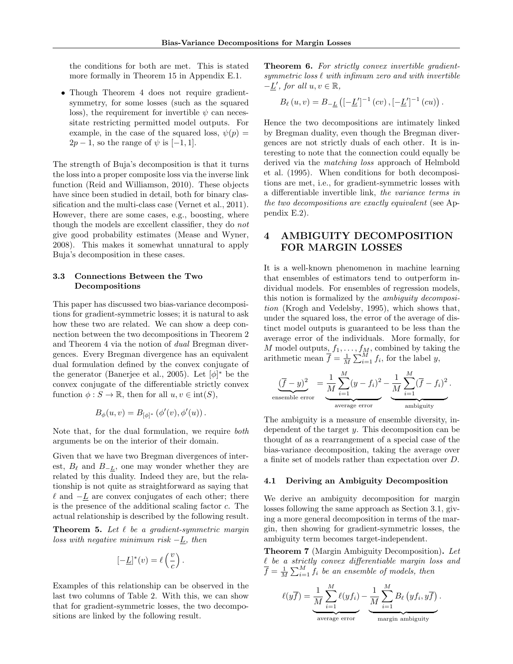the conditions for both are met. This is stated more formally in Theorem 15 in Appendix E.1.

• Though Theorem 4 does not require gradientsymmetry, for some losses (such as the squared loss), the requirement for invertible  $\psi$  can necessitate restricting permitted model outputs. For example, in the case of the squared loss,  $\psi(p)$  =  $2p-1$ , so the range of  $\psi$  is [-1, 1].

The strength of Buja's decomposition is that it turns the loss into a proper composite loss via the inverse link function (Reid and Williamson, 2010). These objects have since been studied in detail, both for binary classification and the multi-class case (Vernet et al., 2011). However, there are some cases, e.g., boosting, where though the models are excellent classifier, they do not give good probability estimates (Mease and Wyner, 2008). This makes it somewhat unnatural to apply Buja's decomposition in these cases.

## 3.3 Connections Between the Two Decompositions

This paper has discussed two bias-variance decompositions for gradient-symmetric losses; it is natural to ask how these two are related. We can show a deep connection between the two decompositions in Theorem 2 and Theorem 4 via the notion of dual Bregman divergences. Every Bregman divergence has an equivalent dual formulation defined by the convex conjugate of the generator (Banerjee et al., 2005). Let  $[\phi]^*$  be the convex conjugate of the differentiable strictly convex function  $\phi : S \to \mathbb{R}$ , then for all  $u, v \in \text{int}(S)$ ,

$$
B_{\phi}(u, v) = B_{[\phi]^*} (\phi'(v), \phi'(u)).
$$

Note that, for the dual formulation, we require *both* arguments be on the interior of their domain.

Given that we have two Bregman divergences of interest,  $B_{\ell}$  and  $B_{-L}$ , one may wonder whether they are related by this duality. Indeed they are, but the relationship is not quite as straightforward as saying that  $\ell$  and  $-L$  are convex conjugates of each other; there is the presence of the additional scaling factor c. The actual relationship is described by the following result.

**Theorem 5.** Let  $\ell$  be a gradient-symmetric margin loss with negative minimum risk  $-L$ , then

$$
[-\underline{L}]^*(v) = \ell\left(\frac{v}{c}\right).
$$

Examples of this relationship can be observed in the last two columns of Table 2. With this, we can show that for gradient-symmetric losses, the two decompositions are linked by the following result.

Theorem 6. For strictly convex invertible gradientsymmetric loss  $\ell$  with infimum zero and with invertible  $-\underline{L}'$ , for all  $u, v \in \mathbb{R}$ ,

$$
B_{\ell}(u, v) = B_{-\underline{L}} \left( [-\underline{L}']^{-1} (cv), [-\underline{L}']^{-1} (cu) \right).
$$

Hence the two decompositions are intimately linked by Bregman duality, even though the Bregman divergences are not strictly duals of each other. It is interesting to note that the connection could equally be derived via the matching loss approach of Helmbold et al. (1995). When conditions for both decompositions are met, i.e., for gradient-symmetric losses with a differentiable invertible link, the variance terms in the two decompositions are exactly equivalent (see Appendix E.2).

## 4 AMBIGUITY DECOMPOSITION FOR MARGIN LOSSES

It is a well-known phenomenon in machine learning that ensembles of estimators tend to outperform individual models. For ensembles of regression models, this notion is formalized by the ambiguity decomposition (Krogh and Vedelsby, 1995), which shows that, under the squared loss, the error of the average of distinct model outputs is guaranteed to be less than the average error of the individuals. More formally, for M model outputs,  $f_1, \ldots, f_M$ , combined by taking the arithmetic mean  $\overline{f} = \frac{1}{M} \sum_{i=1}^{M} f_i$ , for the label y,

$$
\underbrace{(\overline{f}-y)^2}_{\text{ensemble error}} = \underbrace{\frac{1}{M}\sum_{i=1}^M(y-f_i)^2}_{\text{average error}} - \underbrace{\frac{1}{M}\sum_{i=1}^M(\overline{f}-f_i)^2}_{\text{ambiguity}}.
$$

The ambiguity is a measure of ensemble diversity, independent of the target  $y$ . This decomposition can be thought of as a rearrangement of a special case of the bias-variance decomposition, taking the average over a finite set of models rather than expectation over D.

### 4.1 Deriving an Ambiguity Decomposition

We derive an ambiguity decomposition for margin losses following the same approach as Section 3.1, giving a more general decomposition in terms of the margin, then showing for gradient-symmetric losses, the ambiguity term becomes target-independent.

Theorem 7 (Margin Ambiguity Decomposition). Let  $\ell$  be a strictly convex differentiable margin loss and  $\overline{f} = \frac{1}{M} \sum_{i=1}^{M} f_i$  be an ensemble of models, then

$$
\ell(y\overline{f}) = \underbrace{\frac{1}{M}\sum_{i=1}^{M}\ell(yf_i)}_{\text{average error}} - \underbrace{\frac{1}{M}\sum_{i=1}^{M}B_{\ell}(yf_i, y\overline{f})}_{\text{margin ambiguity}}.
$$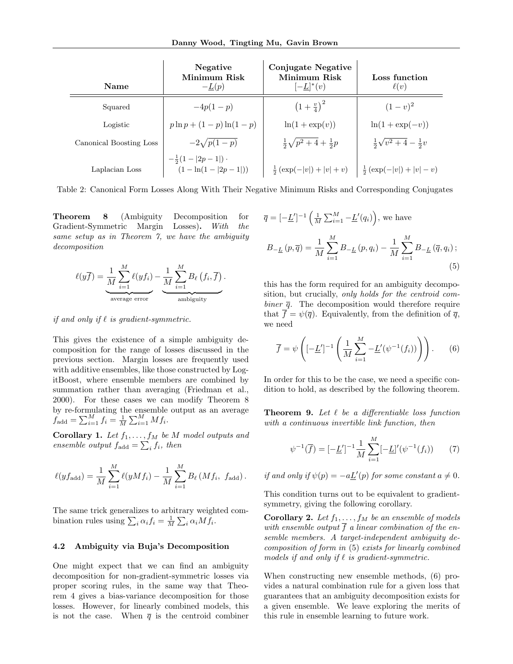| <b>Name</b>             | Negative<br>Minimum Risk<br>$-L(p)$                     | <b>Conjugate Negative</b><br>Minimum Risk<br>$[-L]^*(v)$ | Loss function<br>$\ell(v)$             |
|-------------------------|---------------------------------------------------------|----------------------------------------------------------|----------------------------------------|
| Squared                 | $-4p(1-p)$                                              | $(1+\frac{v}{4})^2$                                      | $(1-v)^2$                              |
| Logistic                | $p \ln p + (1-p) \ln(1-p)$                              | $\ln(1 + \exp(v))$                                       | $\ln(1+\exp(-v))$                      |
| Canonical Boosting Loss | $-2\sqrt{p(1-p)}$                                       | $\frac{1}{2}\sqrt{p^2+4}+\frac{1}{2}p$                   | $\frac{1}{2}\sqrt{v^2+4}-\frac{1}{2}v$ |
| Laplacian Loss          | $-\frac{1}{2}(1- 2p-1 )$ .<br>$(1 - \ln(1 -  2p - 1 ))$ | $\frac{1}{2}$ $(\exp(- v ) +  v  + v)$                   | $ \frac{1}{2}(\exp(- v ) +  v  - v)$   |

Table 2: Canonical Form Losses Along With Their Negative Minimum Risks and Corresponding Conjugates

Theorem 8 (Ambiguity Decomposition for Gradient-Symmetric Margin Losses). With the same setup as in Theorem 7, we have the ambiguity decomposition

$$
\ell(y\overline{f}) = \underbrace{\frac{1}{M}\sum_{i=1}^{M}\ell(yf_i)}_{\text{average error}} - \underbrace{\frac{1}{M}\sum_{i=1}^{M}B_{\ell}(f_i,\overline{f})}_{\text{ambiguity}}.
$$

if and only if  $\ell$  is gradient-symmetric.

This gives the existence of a simple ambiguity decomposition for the range of losses discussed in the previous section. Margin losses are frequently used with additive ensembles, like those constructed by LogitBoost, where ensemble members are combined by summation rather than averaging (Friedman et al., 2000). For these cases we can modify Theorem 8 by re-formulating the ensemble output as an average  $f_{\text{add}} = \sum_{i=1}^{M} f_i = \frac{1}{M} \sum_{i=1}^{M} M f_i.$ 

**Corollary 1.** Let  $f_1, \ldots, f_M$  be M model outputs and ensemble output  $f_{\text{add}} = \sum_i f_i$ , then

$$
\ell(yf_{\text{add}}) = \frac{1}{M} \sum_{i=1}^{M} \ell(yMf_i) - \frac{1}{M} \sum_{i=1}^{M} B_{\ell}(Mf_i, f_{\text{add}}).
$$

The same trick generalizes to arbitrary weighted combination rules using  $\sum_i \alpha_i f_i = \frac{1}{M} \sum_i \alpha_i M f_i$ .

### 4.2 Ambiguity via Buja's Decomposition

One might expect that we can find an ambiguity decomposition for non-gradient-symmetric losses via proper scoring rules, in the same way that Theorem 4 gives a bias-variance decomposition for those losses. However, for linearly combined models, this is not the case. When  $\bar{q}$  is the centroid combiner

$$
\overline{q} = [-\underline{L}']^{-1} \left( \frac{1}{M} \sum_{i=1}^{M} -\underline{L}'(q_i) \right), \text{ we have}
$$
  

$$
B_{-\underline{L}}(p, \overline{q}) = \frac{1}{M} \sum_{i=1}^{M} B_{-\underline{L}}(p, q_i) - \frac{1}{M} \sum_{i=1}^{M} B_{-\underline{L}}(\overline{q}, q_i);
$$
  
(5)

this has the form required for an ambiguity decomposition, but crucially, only holds for the centroid combiner  $\bar{q}$ . The decomposition would therefore require that  $\overline{f} = \psi(\overline{q})$ . Equivalently, from the definition of  $\overline{q}$ , we need

$$
\overline{f} = \psi \left( \left[ -\underline{L}' \right]^{-1} \left( \frac{1}{M} \sum_{i=1}^{M} -\underline{L}'(\psi^{-1}(f_i)) \right) \right). \tag{6}
$$

In order for this to be the case, we need a specific condition to hold, as described by the following theorem.

**Theorem 9.** Let  $\ell$  be a differentiable loss function with a continuous invertible link function, then

$$
\psi^{-1}(\overline{f}) = [-\underline{L}']^{-1} \frac{1}{M} \sum_{i=1}^{M} [-\underline{L}]'(\psi^{-1}(f_i)) \qquad (7)
$$

if and only if  $\psi(p) = -a \underline{L}'(p)$  for some constant  $a \neq 0$ .

This condition turns out to be equivalent to gradientsymmetry, giving the following corollary.

Corollary 2. Let  $f_1, \ldots, f_M$  be an ensemble of models with ensemble output  $\overline{f}$  a linear combination of the ensemble members. A target-independent ambiguity decomposition of form in (5) exists for linearly combined models if and only if  $\ell$  is gradient-symmetric.

When constructing new ensemble methods, (6) provides a natural combination rule for a given loss that guarantees that an ambiguity decomposition exists for a given ensemble. We leave exploring the merits of this rule in ensemble learning to future work.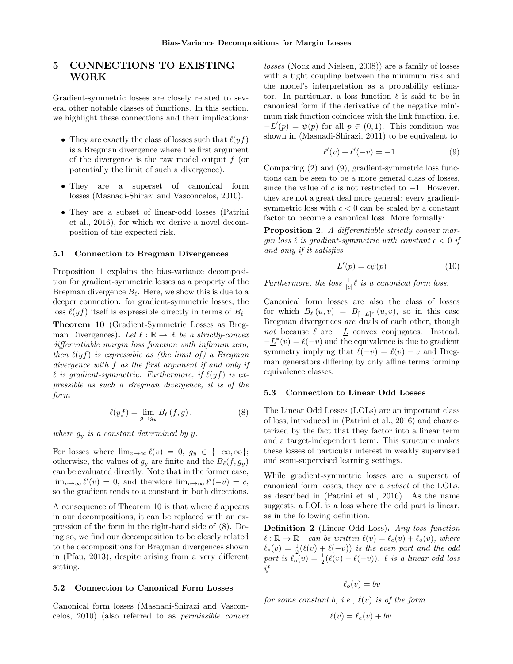## 5 CONNECTIONS TO EXISTING WORK

Gradient-symmetric losses are closely related to several other notable classes of functions. In this section, we highlight these connections and their implications:

- They are exactly the class of losses such that  $\ell(yf)$ is a Bregman divergence where the first argument of the divergence is the raw model output f (or potentially the limit of such a divergence).
- They are a superset of canonical form losses (Masnadi-Shirazi and Vasconcelos, 2010).
- They are a subset of linear-odd losses (Patrini et al., 2016), for which we derive a novel decomposition of the expected risk.

#### 5.1 Connection to Bregman Divergences

Proposition 1 explains the bias-variance decomposition for gradient-symmetric losses as a property of the Bregman divergence  $B_{\ell}$ . Here, we show this is due to a deeper connection: for gradient-symmetric losses, the loss  $\ell(yf)$  itself is expressible directly in terms of  $B_\ell$ .

Theorem 10 (Gradient-Symmetric Losses as Bregman Divergences). Let  $\ell : \mathbb{R} \to \mathbb{R}$  be a strictly-convex differentiable margin loss function with infimum zero, then  $\ell(yf)$  is expressible as (the limit of) a Bregman divergence with f as the first argument if and only if  $\ell$  is gradient-symmetric. Furthermore, if  $\ell(yf)$  is expressible as such a Bregman divergence, it is of the form

$$
\ell(yf) = \lim_{g \to g_y} B_{\ell}(f,g).
$$
 (8)

where  $g_y$  is a constant determined by y.

For losses where  $\lim_{v\to\infty} \ell(v) = 0, g_y \in \{-\infty, \infty\};$ otherwise, the values of  $g_y$  are finite and the  $B_\ell(f, g_y)$ can be evaluated directly. Note that in the former case,  $\lim_{v \to \infty} \ell'(v) = 0$ , and therefore  $\lim_{v \to \infty} \ell'(-v) = c$ , so the gradient tends to a constant in both directions.

A consequence of Theorem 10 is that where  $\ell$  appears in our decompositions, it can be replaced with an expression of the form in the right-hand side of (8). Doing so, we find our decomposition to be closely related to the decompositions for Bregman divergences shown in (Pfau, 2013), despite arising from a very different setting.

#### 5.2 Connection to Canonical Form Losses

Canonical form losses (Masnadi-Shirazi and Vasconcelos, 2010) (also referred to as permissible convex losses (Nock and Nielsen, 2008)) are a family of losses with a tight coupling between the minimum risk and the model's interpretation as a probability estimator. In particular, a loss function  $\ell$  is said to be in canonical form if the derivative of the negative minimum risk function coincides with the link function, i.e,  $-L'(p) = \psi(p)$  for all  $p \in (0,1)$ . This condition was shown in (Masnadi-Shirazi, 2011) to be equivalent to

$$
\ell'(v) + \ell'(-v) = -1.
$$
 (9)

Comparing (2) and (9), gradient-symmetric loss functions can be seen to be a more general class of losses, since the value of c is not restricted to  $-1$ . However, they are not a great deal more general: every gradientsymmetric loss with  $c < 0$  can be scaled by a constant factor to become a canonical loss. More formally:

Proposition 2. A differentiable strictly convex margin loss  $\ell$  is gradient-symmetric with constant  $c < 0$  if and only if it satisfies

$$
\underline{L}'(p) = c\psi(p) \tag{10}
$$

Furthermore, the loss  $\frac{1}{|c|}\ell$  is a canonical form loss.

Canonical form losses are also the class of losses for which  $B_\ell(u, v) = B_{[-\underline{L}]^*}(u, v)$ , so in this case Bregman divergences are duals of each other, though not because  $\ell$  are  $-L$  convex conjugates. Instead,  $-L^*(v) = \ell(-v)$  and the equivalence is due to gradient symmetry implying that  $\ell(-v) = \ell(v) - v$  and Bregman generators differing by only affine terms forming equivalence classes.

## 5.3 Connection to Linear Odd Losses

The Linear Odd Losses (LOLs) are an important class of loss, introduced in (Patrini et al., 2016) and characterized by the fact that they factor into a linear term and a target-independent term. This structure makes these losses of particular interest in weakly supervised and semi-supervised learning settings.

While gradient-symmetric losses are a superset of canonical form losses, they are a subset of the LOLs, as described in (Patrini et al., 2016). As the name suggests, a LOL is a loss where the odd part is linear, as in the following definition.

Definition 2 (Linear Odd Loss). Any loss function  $\ell : \mathbb{R} \to \mathbb{R}_+$  can be written  $\ell(v) = \ell_e(v) + \ell_o(v)$ , where  $\ell_e(v) = \frac{1}{2}(\ell(v) + \ell(-v))$  is the even part and the odd part is  $\ell_o(v) = \frac{1}{2}(\ell(v) - \ell(-v))$ .  $\ell$  is a linear odd loss if

$$
\ell_o(v) = bv
$$

for some constant b, i.e.,  $\ell(v)$  is of the form

$$
\ell(v) = \ell_e(v) + bv.
$$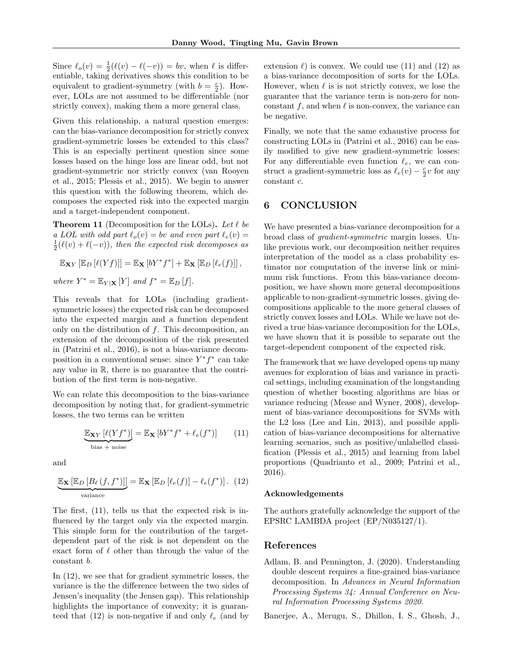Since  $\ell_o(v) = \frac{1}{2}(\ell(v) - \ell(-v)) = bv$ , when  $\ell$  is differentiable, taking derivatives shows this condition to be equivalent to gradient-symmetry (with  $b = \frac{c}{2}$ ). However, LOLs are not assumed to be differentiable (nor strictly convex), making them a more general class.

Given this relationship, a natural question emerges: can the bias-variance decomposition for strictly convex gradient-symmetric losses be extended to this class? This is an especially pertinent question since some losses based on the hinge loss are linear odd, but not gradient-symmetric nor strictly convex (van Rooyen et al., 2015; Plessis et al., 2015). We begin to answer this question with the following theorem, which decomposes the expected risk into the expected margin and a target-independent component.

**Theorem 11** (Decomposition for the LOLs). Let  $\ell$  be a LOL with odd part  $\ell_o(v) = bv$  and even part  $\ell_e(v) =$  $\frac{1}{2}(\ell(v) + \ell(-v))$ , then the expected risk decomposes as

$$
\mathbb{E}_{\mathbf{X}Y} [\mathbb{E}_D [\ell(Yf)]] = \mathbb{E}_{\mathbf{X}} [bY^* f^*] + \mathbb{E}_{\mathbf{X}} [\mathbb{E}_D [\ell_e(f)]],
$$
  
where  $Y^* = \mathbb{E}_{Y|\mathbf{X}} [Y]$  and  $f^* = \mathbb{E}_D [f].$ 

This reveals that for LOLs (including gradientsymmetric losses) the expected risk can be decomposed into the expected margin and a function dependent only on the distribution of  $f$ . This decomposition, an extension of the decomposition of the risk presented in (Patrini et al., 2016), is not a bias-variance decomposition in a conventional sense: since  $Y^*f^*$  can take any value in R, there is no guarantee that the contribution of the first term is non-negative.

We can relate this decomposition to the bias-variance decomposition by noting that, for gradient-symmetric losses, the two terms can be written

$$
\underbrace{\mathbb{E}_{\mathbf{X}Y} \left[ \ell(Yf^*) \right]}_{\text{bias} + \text{noise}} = \mathbb{E}_{\mathbf{X}} \left[ bY^* f^* + \ell_e(f^*) \right] \tag{11}
$$

and

$$
\underbrace{\mathbb{E}_{\mathbf{X}}\left[\mathbb{E}_{D}\left[B_{\ell}\left(f,f^{*}\right)\right]\right]}_{\text{variance}} = \mathbb{E}_{\mathbf{X}}\left[\mathbb{E}_{D}\left[\ell_{e}(f)\right] - \ell_{e}(f^{*})\right]. \tag{12}
$$

The first, (11), tells us that the expected risk is influenced by the target only via the expected margin. This simple form for the contribution of the targetdependent part of the risk is not dependent on the exact form of  $\ell$  other than through the value of the constant b.

In (12), we see that for gradient symmetric losses, the variance is the the difference between the two sides of Jensen's inequality (the Jensen gap). This relationship highlights the importance of convexity; it is guaranteed that (12) is non-negative if and only  $\ell_e$  (and by extension  $\ell$ ) is convex. We could use (11) and (12) as a bias-variance decomposition of sorts for the LOLs. However, when  $\ell$  is is not strictly convex, we lose the guarantee that the variance term is non-zero for nonconstant f, and when  $\ell$  is non-convex, the variance can be negative.

Finally, we note that the same exhaustive process for constructing LOLs in (Patrini et al., 2016) can be easily modified to give new gradient-symmetric losses: For any differentiable even function  $\ell_e$ , we can construct a gradient-symmetric loss as  $\ell_e(v) - \frac{c}{2}v$  for any constant c.

## 6 CONCLUSION

We have presented a bias-variance decomposition for a broad class of gradient-symmetric margin losses. Unlike previous work, our decomposition neither requires interpretation of the model as a class probability estimator nor computation of the inverse link or minimum risk functions. From this bias-variance decomposition, we have shown more general decompositions applicable to non-gradient-symmetric losses, giving decompositions applicable to the more general classes of strictly convex losses and LOLs. While we have not derived a true bias-variance decomposition for the LOLs, we have shown that it is possible to separate out the target-dependent component of the expected risk.

The framework that we have developed opens up many avenues for exploration of bias and variance in practical settings, including examination of the longstanding question of whether boosting algorithms are bias or variance reducing (Mease and Wyner, 2008), development of bias-variance decompositions for SVMs with the L2 loss (Lee and Lin, 2013), and possible application of bias-variance decompositions for alternative learning scenarios, such as positive/unlabelled classification (Plessis et al., 2015) and learning from label proportions (Quadrianto et al., 2009; Patrini et al., 2016).

### Acknowledgements

The authors gratefully acknowledge the support of the EPSRC LAMBDA project (EP/N035127/1).

## References

Adlam, B. and Pennington, J. (2020). Understanding double descent requires a fine-grained bias-variance decomposition. In Advances in Neural Information Processing Systems 34: Annual Conference on Neural Information Processing Systems 2020.

Banerjee, A., Merugu, S., Dhillon, I. S., Ghosh, J.,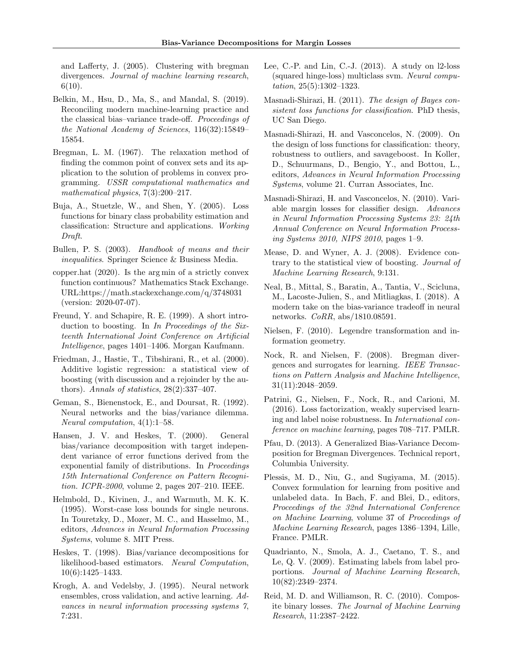and Lafferty, J. (2005). Clustering with bregman divergences. Journal of machine learning research,  $6(10).$ 

- Belkin, M., Hsu, D., Ma, S., and Mandal, S. (2019). Reconciling modern machine-learning practice and the classical bias–variance trade-off. Proceedings of the National Academy of Sciences, 116(32):15849– 15854.
- Bregman, L. M. (1967). The relaxation method of finding the common point of convex sets and its application to the solution of problems in convex programming. USSR computational mathematics and mathematical physics, 7(3):200–217.
- Buja, A., Stuetzle, W., and Shen, Y. (2005). Loss functions for binary class probability estimation and classification: Structure and applications. Working Draft.
- Bullen, P. S. (2003). Handbook of means and their inequalities. Springer Science & Business Media.
- copper.hat (2020). Is the arg min of a strictly convex function continuous? Mathematics Stack Exchange. URL:https://math.stackexchange.com/q/3748031 (version: 2020-07-07).
- Freund, Y. and Schapire, R. E. (1999). A short introduction to boosting. In In Proceedings of the Sixteenth International Joint Conference on Artificial Intelligence, pages 1401–1406. Morgan Kaufmann.
- Friedman, J., Hastie, T., Tibshirani, R., et al. (2000). Additive logistic regression: a statistical view of boosting (with discussion and a rejoinder by the authors). Annals of statistics,  $28(2):337-407$ .
- Geman, S., Bienenstock, E., and Doursat, R. (1992). Neural networks and the bias/variance dilemma. Neural computation, 4(1):1–58.
- Hansen, J. V. and Heskes, T. (2000). General bias/variance decomposition with target independent variance of error functions derived from the exponential family of distributions. In Proceedings 15th International Conference on Pattern Recognition. ICPR-2000, volume 2, pages 207–210. IEEE.
- Helmbold, D., Kivinen, J., and Warmuth, M. K. K. (1995). Worst-case loss bounds for single neurons. In Touretzky, D., Mozer, M. C., and Hasselmo, M., editors, Advances in Neural Information Processing Systems, volume 8. MIT Press.
- Heskes, T. (1998). Bias/variance decompositions for likelihood-based estimators. Neural Computation, 10(6):1425–1433.
- Krogh, A. and Vedelsby, J. (1995). Neural network ensembles, cross validation, and active learning. Advances in neural information processing systems 7, 7:231.
- Lee, C.-P. and Lin, C.-J.  $(2013)$ . A study on l2-loss (squared hinge-loss) multiclass svm. Neural computation, 25(5):1302–1323.
- Masnadi-Shirazi, H. (2011). The design of Bayes consistent loss functions for classification. PhD thesis, UC San Diego.
- Masnadi-Shirazi, H. and Vasconcelos, N. (2009). On the design of loss functions for classification: theory, robustness to outliers, and savageboost. In Koller, D., Schuurmans, D., Bengio, Y., and Bottou, L., editors, Advances in Neural Information Processing Systems, volume 21. Curran Associates, Inc.
- Masnadi-Shirazi, H. and Vasconcelos, N. (2010). Variable margin losses for classifier design. Advances in Neural Information Processing Systems 23: 24th Annual Conference on Neural Information Processing Systems 2010, NIPS 2010, pages 1–9.
- Mease, D. and Wyner, A. J. (2008). Evidence contrary to the statistical view of boosting. Journal of Machine Learning Research, 9:131.
- Neal, B., Mittal, S., Baratin, A., Tantia, V., Scicluna, M., Lacoste-Julien, S., and Mitliagkas, I. (2018). A modern take on the bias-variance tradeoff in neural networks. CoRR, abs/1810.08591.
- Nielsen, F. (2010). Legendre transformation and information geometry.
- Nock, R. and Nielsen, F. (2008). Bregman divergences and surrogates for learning. IEEE Transactions on Pattern Analysis and Machine Intelligence, 31(11):2048–2059.
- Patrini, G., Nielsen, F., Nock, R., and Carioni, M. (2016). Loss factorization, weakly supervised learning and label noise robustness. In International conference on machine learning, pages 708–717. PMLR.
- Pfau, D. (2013). A Generalized Bias-Variance Decomposition for Bregman Divergences. Technical report, Columbia University.
- Plessis, M. D., Niu, G., and Sugiyama, M. (2015). Convex formulation for learning from positive and unlabeled data. In Bach, F. and Blei, D., editors, Proceedings of the 32nd International Conference on Machine Learning, volume 37 of Proceedings of Machine Learning Research, pages 1386–1394, Lille, France. PMLR.
- Quadrianto, N., Smola, A. J., Caetano, T. S., and Le, Q. V. (2009). Estimating labels from label proportions. Journal of Machine Learning Research, 10(82):2349–2374.
- Reid, M. D. and Williamson, R. C. (2010). Composite binary losses. The Journal of Machine Learning Research, 11:2387–2422.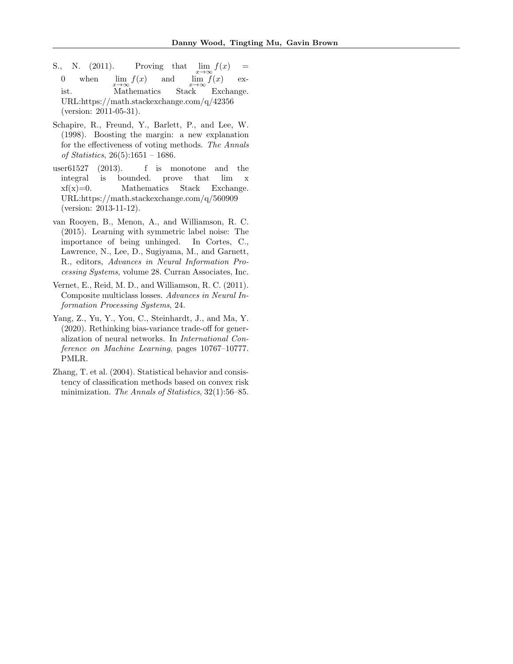- S., N. (2011). Proving that <br>0 when lim  $f(x)$  and  $\lim f(x) =$ when and  $\lim_{x\to\infty}$ <br>Stack  $\lim f(x)$  exist. Mathematics Stack Exchange. URL:https://math.stackexchange.com/q/42356 (version: 2011-05-31).
- Schapire, R., Freund, Y., Barlett, P., and Lee, W. (1998). Boosting the margin: a new explanation for the effectiveness of voting methods. The Annals of Statistics, 26(5):1651 – 1686.
- user61527 (2013). f is monotone and the integral is bounded. prove that lim x  $xf(x)=0.$  Mathematics Stack Exchange. URL:https://math.stackexchange.com/q/560909 (version: 2013-11-12).
- van Rooyen, B., Menon, A., and Williamson, R. C. (2015). Learning with symmetric label noise: The importance of being unhinged. In Cortes, C., Lawrence, N., Lee, D., Sugiyama, M., and Garnett, R., editors, Advances in Neural Information Processing Systems, volume 28. Curran Associates, Inc.
- Vernet, E., Reid, M. D., and Williamson, R. C. (2011). Composite multiclass losses. Advances in Neural Information Processing Systems, 24.
- Yang, Z., Yu, Y., You, C., Steinhardt, J., and Ma, Y. (2020). Rethinking bias-variance trade-off for generalization of neural networks. In International Conference on Machine Learning, pages 10767–10777. PMLR.
- Zhang, T. et al. (2004). Statistical behavior and consistency of classification methods based on convex risk minimization. The Annals of Statistics, 32(1):56–85.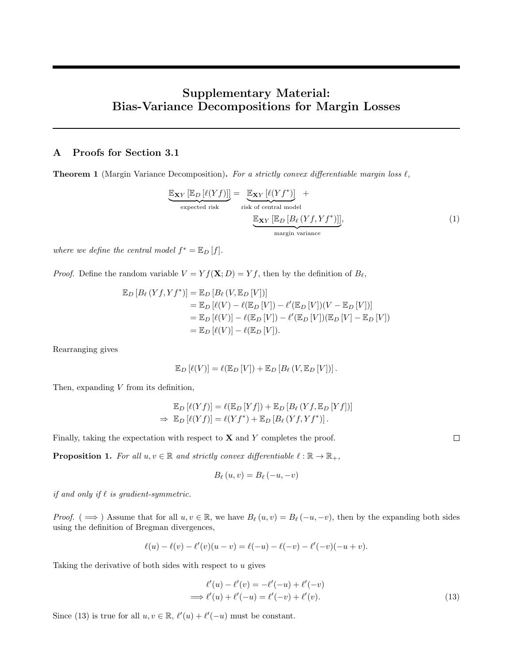# Supplementary Material: Bias-Variance Decompositions for Margin Losses

## A Proofs for Section 3.1

**Theorem 1** (Margin Variance Decomposition). For a strictly convex differentiable margin loss  $\ell$ ,

$$
\underbrace{\mathbb{E}_{\mathbf{X}Y} [\mathbb{E}_D [\ell(Yf)]]}_{\text{expected risk}} = \underbrace{\mathbb{E}_{\mathbf{X}Y} [\ell(Yf^*)]}_{\text{risk of central model}} + \underbrace{\mathbb{E}_{\mathbf{X}Y} [\mathbb{E}_D [B_\ell(Yf, Yf^*)]]]}_{\text{margin variance}},
$$
\n(1)

where we define the central model  $f^* = \mathbb{E}_D[f].$ 

*Proof.* Define the random variable  $V = Y f(\mathbf{X}; D) = Y f$ , then by the definition of  $B_{\ell}$ ,

$$
\mathbb{E}_{D} [B_{\ell} (Yf, Yf^{*})] = \mathbb{E}_{D} [B_{\ell} (V, \mathbb{E}_{D} [V])]
$$
  
\n
$$
= \mathbb{E}_{D} [\ell(V) - \ell(\mathbb{E}_{D} [V]) - \ell'(\mathbb{E}_{D} [V])(V - \mathbb{E}_{D} [V])]
$$
  
\n
$$
= \mathbb{E}_{D} [\ell(V)] - \ell(\mathbb{E}_{D} [V]) - \ell'(\mathbb{E}_{D} [V])(\mathbb{E}_{D} [V] - \mathbb{E}_{D} [V])
$$
  
\n
$$
= \mathbb{E}_{D} [\ell(V)] - \ell(\mathbb{E}_{D} [V]).
$$

Rearranging gives

$$
\mathbb{E}_D \left[ \ell(V) \right] = \ell(\mathbb{E}_D \left[ V \right]) + \mathbb{E}_D \left[ B_{\ell} \left( V, \mathbb{E}_D \left[ V \right] \right) \right].
$$

Then, expanding  $V$  from its definition,

$$
\mathbb{E}_D [\ell(Yf)] = \ell(\mathbb{E}_D [Yf]) + \mathbb{E}_D [B_\ell (Yf, \mathbb{E}_D [Yf])]
$$
  
\n
$$
\Rightarrow \mathbb{E}_D [\ell(Yf)] = \ell(Yf^*) + \mathbb{E}_D [B_\ell (Yf, Yf^*)].
$$

Finally, taking the expectation with respect to  $X$  and  $Y$  completes the proof.

**Proposition 1.** For all  $u, v \in \mathbb{R}$  and strictly convex differentiable  $\ell : \mathbb{R} \to \mathbb{R}_+$ ,

$$
B_{\ell}(u,v) = B_{\ell}(-u,-v)
$$

if and only if  $\ell$  is gradient-symmetric.

Proof. (  $\implies$  ) Assume that for all  $u, v \in \mathbb{R}$ , we have  $B_{\ell}(u, v) = B_{\ell}(-u, -v)$ , then by the expanding both sides using the definition of Bregman divergences,

$$
\ell(u) - \ell(v) - \ell'(v)(u - v) = \ell(-u) - \ell(-v) - \ell'(-v)(-u + v).
$$

Taking the derivative of both sides with respect to  $u$  gives

$$
\ell'(u) - \ell'(v) = -\ell'(-u) + \ell'(-v) \n\implies \ell'(u) + \ell'(-u) = \ell'(-v) + \ell'(v).
$$
\n(13)

Since (13) is true for all  $u, v \in \mathbb{R}$ ,  $\ell'(u) + \ell'(-u)$  must be constant.

 $\hfill \square$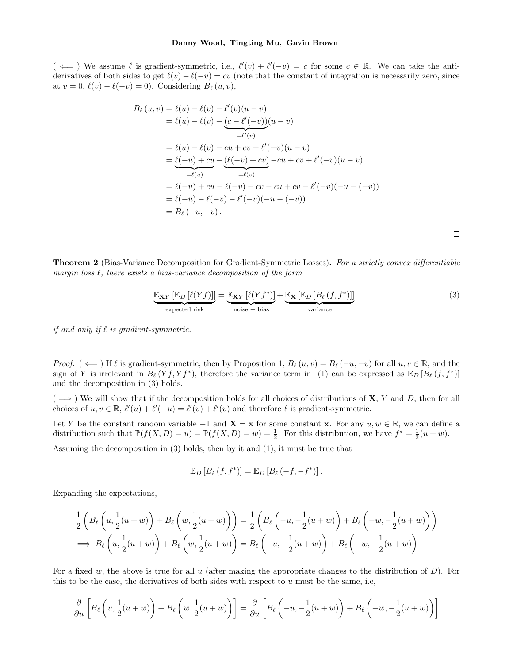$(\iff)$  We assume  $\ell$  is gradient-symmetric, i.e.,  $\ell'(v) + \ell'(-v) = c$  for some  $c \in \mathbb{R}$ . We can take the antiderivatives of both sides to get  $\ell(v) - \ell(-v) = cv$  (note that the constant of integration is necessarily zero, since at  $v = 0$ ,  $\ell(v) - \ell(-v) = 0$ . Considering  $B_{\ell}(u, v)$ ,

$$
B_{\ell}(u, v) = \ell(u) - \ell(v) - \ell'(v)(u - v)
$$
  
=  $\ell(u) - \ell(v) - \underbrace{(c - \ell'(-v))}_{= \ell'(v)}(u - v)$   
=  $\ell(u) - \ell(v) - cu + cv + \ell'(-v)(u - v)$   
=  $\underbrace{\ell(-u) + cu}_{= \ell(u)} - \underbrace{(\ell(-v) + cv)}_{= \ell(v)} - cu + cv + \ell'(-v)(u - v)$   
=  $\ell(-u) + cu - \ell(-v) - cv - cu + cv - \ell'(-v)(-u - (-v))$   
=  $\ell(-u) - \ell(-v) - \ell'(-v)(-u - (-v))$   
=  $B_{\ell}(-u, -v)$ .

 $\Box$ 

**Theorem 2** (Bias-Variance Decomposition for Gradient-Symmetric Losses). For a strictly convex differentiable margin loss  $\ell$ , there exists a bias-variance decomposition of the form

$$
\underbrace{\mathbb{E}_{\mathbf{X}Y} [\mathbb{E}_D [\ell(Yf)]]}_{\text{expected risk}} = \underbrace{\mathbb{E}_{\mathbf{X}Y} [\ell(Yf^*)]}_{\text{noise + bias}} + \underbrace{\mathbb{E}_{\mathbf{X}} [\mathbb{E}_D [B_\ell (f, f^*)]]}_{\text{variance}}
$$
(3)

if and only if  $\ell$  is gradient-symmetric.

Proof. ( $\Leftarrow$ ) If  $\ell$  is gradient-symmetric, then by Proposition 1,  $B_\ell(u, v) = B_\ell(-u, -v)$  for all  $u, v \in \mathbb{R}$ , and the sign of Y is irrelevant in  $B_\ell(Yf, Yf^*)$ , therefore the variance term in (1) can be expressed as  $\mathbb{E}_D [B_\ell(f, f^*)]$ and the decomposition in (3) holds.

 $( \implies )$  We will show that if the decomposition holds for all choices of distributions of **X**, Y and D, then for all choices of  $u, v \in \mathbb{R}$ ,  $\ell'(u) + \ell'(-u) = \ell'(v) + \ell'(v)$  and therefore  $\ell$  is gradient-symmetric.

Let Y be the constant random variable  $-1$  and  $\mathbf{X} = \mathbf{x}$  for some constant  $\mathbf{x}$ . For any  $u, w \in \mathbb{R}$ , we can define a distribution such that  $\mathbb{P}(f(X,D) = u) = \mathbb{P}(f(X,D) = w) = \frac{1}{2}$ . For this distribution, we have  $f^* = \frac{1}{2}(u+w)$ .

Assuming the decomposition in (3) holds, then by it and (1), it must be true that

$$
\mathbb{E}_D\left[B_{\ell}\left(f,f^*\right)\right]=\mathbb{E}_D\left[B_{\ell}\left(-f,-f^*\right)\right].
$$

Expanding the expectations,

$$
\frac{1}{2}\left(B_{\ell}\left(u,\frac{1}{2}(u+w)\right)+B_{\ell}\left(w,\frac{1}{2}(u+w)\right)\right)=\frac{1}{2}\left(B_{\ell}\left(-u,-\frac{1}{2}(u+w)\right)+B_{\ell}\left(-w,-\frac{1}{2}(u+w)\right)\right)
$$
\n
$$
\implies B_{\ell}\left(u,\frac{1}{2}(u+w)\right)+B_{\ell}\left(w,\frac{1}{2}(u+w)\right)=B_{\ell}\left(-u,-\frac{1}{2}(u+w)\right)+B_{\ell}\left(-w,-\frac{1}{2}(u+w)\right)
$$

For a fixed w, the above is true for all u (after making the appropriate changes to the distribution of  $D$ ). For this to be the case, the derivatives of both sides with respect to  $u$  must be the same, i.e,

$$
\frac{\partial}{\partial u}\left[B_{\ell}\left(u,\frac{1}{2}(u+w)\right)+B_{\ell}\left(w,\frac{1}{2}(u+w)\right)\right]=\frac{\partial}{\partial u}\left[B_{\ell}\left(-u,-\frac{1}{2}(u+w)\right)+B_{\ell}\left(-w,-\frac{1}{2}(u+w)\right)\right]
$$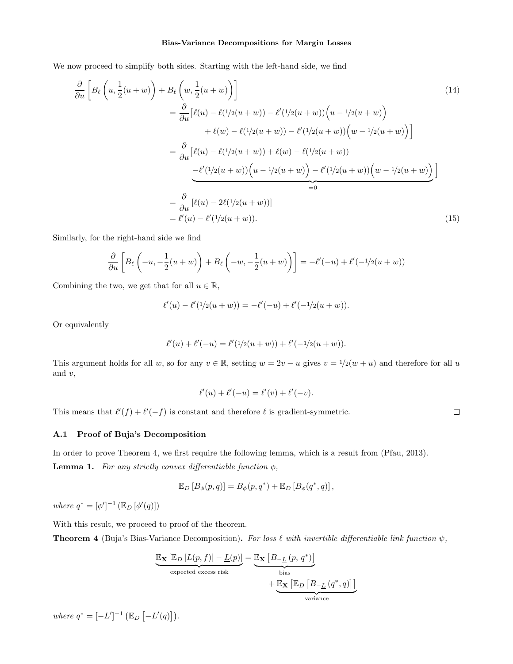We now proceed to simplify both sides. Starting with the left-hand side, we find

$$
\frac{\partial}{\partial u} \left[ B_{\ell} \left( u, \frac{1}{2} (u+w) \right) + B_{\ell} \left( w, \frac{1}{2} (u+w) \right) \right]
$$
\n
$$
= \frac{\partial}{\partial u} \left[ \ell(u) - \ell(1/2(u+w)) - \ell'(1/2(u+w)) \left( u - \frac{1}{2} (u+w) \right) \right]
$$
\n
$$
+ \ell(w) - \ell(1/2(u+w)) - \ell'(1/2(u+w)) \left( w - \frac{1}{2} (u+w) \right) \right]
$$
\n
$$
= \frac{\partial}{\partial u} \left[ \ell(u) - \ell(1/2(u+w)) + \ell(w) - \ell(1/2(u+w)) \right]
$$
\n
$$
- \frac{\ell'(1/2(u+w)) \left( u - \frac{1}{2} (u+w) \right) - \ell'(\frac{1}{2} (u+w)) \left( w - \frac{1}{2} (u+w) \right) \right]
$$
\n
$$
= \frac{\partial}{\partial u} \left[ \ell(u) - 2\ell(\frac{1}{2} (u+w)) \right]
$$
\n
$$
= \ell'(u) - \ell'(\frac{1}{2} (u+w)). \tag{15}
$$

Similarly, for the right-hand side we find

$$
\frac{\partial}{\partial u}\left[B_{\ell}\left(-u, -\frac{1}{2}(u+w)\right) + B_{\ell}\left(-w, -\frac{1}{2}(u+w)\right)\right] = -\ell'(-u) + \ell'(-1/2(u+w))
$$

Combining the two, we get that for all  $u \in \mathbb{R}$ ,

$$
\ell'(u) - \ell'(1/2(u+w)) = -\ell'(-u) + \ell'(-1/2(u+w)).
$$

Or equivalently

$$
\ell'(u) + \ell'(-u) = \ell'(1/2(u+w)) + \ell'(-1/2(u+w)).
$$

This argument holds for all w, so for any  $v \in \mathbb{R}$ , setting  $w = 2v - u$  gives  $v = 1/2(w + u)$  and therefore for all u and  $v$ ,

$$
\ell'(u) + \ell'(-u) = \ell'(v) + \ell'(-v).
$$

This means that  $\ell'(f) + \ell'(-f)$  is constant and therefore  $\ell$  is gradient-symmetric.

 $\Box$ 

### A.1 Proof of Buja's Decomposition

In order to prove Theorem 4, we first require the following lemma, which is a result from (Pfau, 2013). **Lemma 1.** For any strictly convex differentiable function  $\phi$ ,

$$
\mathbb{E}_D [B_{\phi}(p,q)] = B_{\phi}(p,q^*) + \mathbb{E}_D [B_{\phi}(q^*,q)],
$$

where  $q^* = [\phi']^{-1} (\mathbb{E}_D [\phi'(q)])$ 

With this result, we proceed to proof of the theorem.

**Theorem 4** (Buja's Bias-Variance Decomposition). For loss  $\ell$  with invertible differentiable link function  $\psi$ ,

$$
\underbrace{\mathbb{E}_{\mathbf{X}}\left[\mathbb{E}_{D}\left[L(p,f)\right]-\underline{L}(p)\right]}_{\text{expected excess risk}} = \underbrace{\mathbb{E}_{\mathbf{X}}\left[B_{-\underline{L}}\left(p,\,q^{*}\right)\right]}_{\text{bias}} + \underbrace{\mathbb{E}_{\mathbf{X}}\left[\mathbb{E}_{D}\left[B_{-\underline{L}}\left(q^{*},q\right)\right]\right]}_{\text{variance}}
$$

where  $q^* = \left[-\underline{L}'\right]^{-1} \left(\mathbb{E}_D \left[-\underline{L}'(q)\right]\right)$ .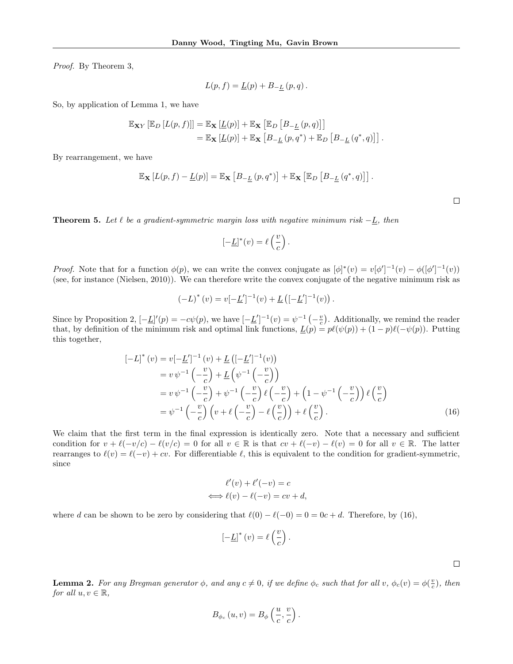Proof. By Theorem 3,

$$
L(p, f) = \underline{L}(p) + B_{-\underline{L}}(p, q).
$$

So, by application of Lemma 1, we have

$$
\mathbb{E}_{\mathbf{X}Y} [\mathbb{E}_D [L(p, f)]] = \mathbb{E}_{\mathbf{X}} [\underline{L}(p)] + \mathbb{E}_{\mathbf{X}} [\mathbb{E}_D [B_{-\underline{L}}(p, q)]]
$$
  
=  $\mathbb{E}_{\mathbf{X}} [\underline{L}(p)] + \mathbb{E}_{\mathbf{X}} [B_{-\underline{L}}(p, q^*) + \mathbb{E}_D [B_{-\underline{L}}(q^*, q)]].$ 

By rearrangement, we have

$$
\mathbb{E}_{\mathbf{X}}\left[L(p,f)-\underline{L}(p)\right]=\mathbb{E}_{\mathbf{X}}\left[B_{-\underline{L}}(p,q^*)\right]+\mathbb{E}_{\mathbf{X}}\left[\mathbb{E}_{D}\left[B_{-\underline{L}}(q^*,q)\right]\right].
$$

**Theorem 5.** Let  $\ell$  be a gradient-symmetric margin loss with negative minimum risk  $-L$ , then

$$
[-\underline{L}]^*(v) = \ell\left(\frac{v}{c}\right).
$$

*Proof.* Note that for a function  $\phi(p)$ , we can write the convex conjugate as  $[\phi]^*(v) = v[\phi']^{-1}(v) - \phi([\phi']^{-1}(v))$ (see, for instance (Nielsen, 2010)). We can therefore write the convex conjugate of the negative minimum risk as

$$
(-L)^{*}(v) = v[-\underline{L}']^{-1}(v) + \underline{L}([-\underline{L}']^{-1}(v)).
$$

Since by Proposition 2,  $[-\underline{L}]'(p) = -c\psi(p)$ , we have  $[-\underline{L}']^{-1}(v) = \psi^{-1}(-\frac{v}{c})$ . Additionally, we remind the reader that, by definition of the minimum risk and optimal link functions,  $\underline{L}(p) = p\ell(\psi(p)) + (1 - p)\ell(-\psi(p))$ . Putting this together,

$$
[-L]^*(v) = v[-\underline{L}']^{-1}(v) + \underline{L} \left( [-\underline{L}']^{-1}(v) \right)
$$
  
\n
$$
= v \psi^{-1} \left( -\frac{v}{c} \right) + \underline{L} \left( \psi^{-1} \left( -\frac{v}{c} \right) \right)
$$
  
\n
$$
= v \psi^{-1} \left( -\frac{v}{c} \right) + \psi^{-1} \left( -\frac{v}{c} \right) \ell \left( -\frac{v}{c} \right) + \left( 1 - \psi^{-1} \left( -\frac{v}{c} \right) \right) \ell \left( \frac{v}{c} \right)
$$
  
\n
$$
= \psi^{-1} \left( -\frac{v}{c} \right) \left( v + \ell \left( -\frac{v}{c} \right) - \ell \left( \frac{v}{c} \right) \right) + \ell \left( \frac{v}{c} \right).
$$
 (16)

.

We claim that the first term in the final expression is identically zero. Note that a necessary and sufficient condition for  $v + \ell(-v/c) - \ell(v/c) = 0$  for all  $v \in \mathbb{R}$  is that  $cv + \ell(-v) - \ell(v) = 0$  for all  $v \in \mathbb{R}$ . The latter rearranges to  $\ell(v) = \ell(-v) + cv$ . For differentiable  $\ell$ , this is equivalent to the condition for gradient-symmetric, since

$$
\ell'(v) + \ell'(-v) = c
$$
  

$$
\iff \ell(v) - \ell(-v) = cv + d,
$$

where d can be shown to be zero by considering that  $\ell(0) - \ell(-0) = 0 = 0c + d$ . Therefore, by (16),

$$
\left[-\underline{L}\right]^*\left(v\right)=\ell\left(\frac{v}{c}\right)
$$

 $\Box$ 

**Lemma 2.** For any Bregman generator  $\phi$ , and any  $c \neq 0$ , if we define  $\phi_c$  such that for all v,  $\phi_c(v) = \phi(\frac{v}{c})$ , then for all  $u, v \in \mathbb{R}$ ,

$$
B_{\phi_c}(u,v) = B_{\phi}\left(\frac{u}{c},\frac{v}{c}\right).
$$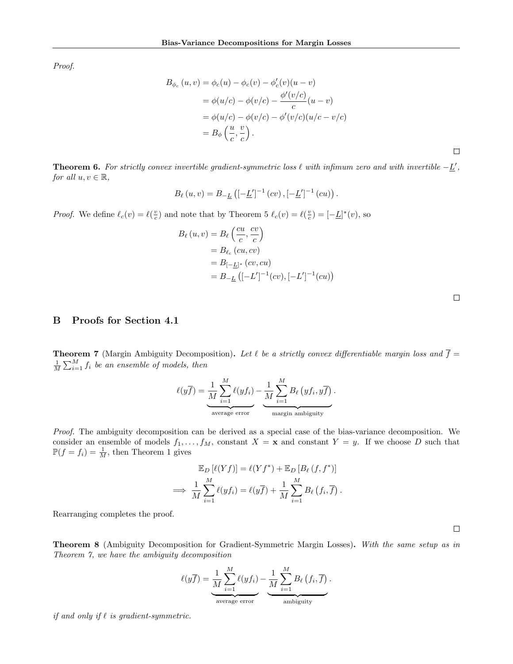Proof.

$$
B_{\phi_c}(u, v) = \phi_c(u) - \phi_c(v) - \phi'_c(v)(u - v)
$$
  
=  $\phi(u/c) - \phi(v/c) - \frac{\phi'(v/c)}{c}(u - v)$   
=  $\phi(u/c) - \phi(v/c) - \phi'(v/c)(u/c - v/c)$   
=  $B_{\phi}\left(\frac{u}{c}, \frac{v}{c}\right)$ .

**Theorem 6.** For strictly convex invertible gradient-symmetric loss  $\ell$  with infimum zero and with invertible  $-\underline{L}'$ , for all  $u, v \in \mathbb{R}$ ,

$$
B_{\ell}(u,v) = B_{-\underline{L}}\left([-\underline{L}']^{-1}(cv), [-\underline{L}']^{-1}(cu)\right).
$$

*Proof.* We define  $\ell_c(v) = \ell(\frac{v}{c})$  and note that by Theorem 5  $\ell_c(v) = \ell(\frac{v}{c}) = [-\underline{L}]^*(v)$ , so

$$
B_{\ell}(u,v) = B_{\ell}\left(\frac{cu}{c}, \frac{cv}{c}\right)
$$
  
=  $B_{\ell_c}(cu, cv)$   
=  $B_{[-L]^*}(cv, cu)$   
=  $B_{[-L]}\left([-L']^{-1}(cv), [-L']^{-1}(cu)\right)$ 

## B Proofs for Section 4.1

**Theorem 7** (Margin Ambiguity Decomposition). Let  $\ell$  be a strictly convex differentiable margin loss and  $\overline{f}$  =  $\frac{1}{M}\sum_{i=1}^{M} f_i$  be an ensemble of models, then

$$
\ell(y\overline{f}) = \underbrace{\frac{1}{M}\sum_{i=1}^{M}\ell(yf_i)}_{\text{average error}} - \underbrace{\frac{1}{M}\sum_{i=1}^{M}B_{\ell}(yf_i, y\overline{f})}_{\text{margin ambiguity}}.
$$

Proof. The ambiguity decomposition can be derived as a special case of the bias-variance decomposition. We consider an ensemble of models  $f_1, \ldots, f_M$ , constant  $X = \mathbf{x}$  and constant  $Y = y$ . If we choose D such that  $\mathbb{P}(f = f_i) = \frac{1}{M}$ , then Theorem 1 gives

$$
\mathbb{E}_D [\ell(Yf)] = \ell(Yf^*) + \mathbb{E}_D [B_\ell (f, f^*)]
$$
  
\n
$$
\implies \frac{1}{M} \sum_{i=1}^M \ell(yf_i) = \ell(y\overline{f}) + \frac{1}{M} \sum_{i=1}^M B_\ell (f_i, \overline{f}).
$$

Rearranging completes the proof.

 $\Box$ 

Theorem 8 (Ambiguity Decomposition for Gradient-Symmetric Margin Losses). With the same setup as in Theorem 7, we have the ambiguity decomposition

$$
\ell(y\overline{f}) = \underbrace{\frac{1}{M}\sum_{i=1}^{M}\ell(yf_i)}_{\text{average error}} - \underbrace{\frac{1}{M}\sum_{i=1}^{M}B_{\ell}(f_i,\overline{f})}_{\text{ambiguity}}.
$$

if and only if  $\ell$  is gradient-symmetric.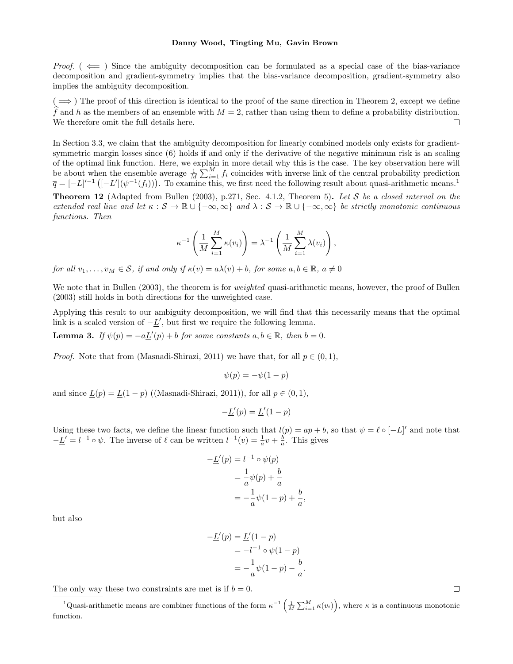*Proof.* ( $\leftarrow$ ) Since the ambiguity decomposition can be formulated as a special case of the bias-variance decomposition and gradient-symmetry implies that the bias-variance decomposition, gradient-symmetry also implies the ambiguity decomposition.

 $( \implies )$  The proof of this direction is identical to the proof of the same direction in Theorem 2, except we define f and h as the members of an ensemble with  $M = 2$ , rather than using them to define a probability distribution.<br>We therefore omit the full details here. We therefore omit the full details here.

In Section 3.3, we claim that the ambiguity decomposition for linearly combined models only exists for gradientsymmetric margin losses since (6) holds if and only if the derivative of the negative minimum risk is an scaling of the optimal link function. Here, we explain in more detail why this is the case. The key observation here will be about when the ensemble average  $\frac{1}{M} \sum_{i=1}^{M} f_i$  coincides with inverse link of the central probability prediction  $\overline{q} = [-L]^{t-1} \left( [-L'](\psi^{-1}(f_i)) \right)$ . To examine this, we first need the following result about quasi-arithmetic means.<sup>1</sup>

**Theorem 12** (Adapted from Bullen (2003), p.271, Sec. 4.1.2, Theorem 5). Let S be a closed interval on the extended real line and let  $\kappa : \mathcal{S} \to \mathbb{R} \cup \{-\infty, \infty\}$  and  $\lambda : \mathcal{S} \to \mathbb{R} \cup \{-\infty, \infty\}$  be strictly monotonic continuous functions. Then

$$
\kappa^{-1}\left(\frac{1}{M}\sum_{i=1}^M \kappa(v_i)\right) = \lambda^{-1}\left(\frac{1}{M}\sum_{i=1}^M \lambda(v_i)\right),\,
$$

for all  $v_1, \ldots, v_M \in \mathcal{S}$ , if and only if  $\kappa(v) = a\lambda(v) + b$ , for some  $a, b \in \mathbb{R}$ ,  $a \neq 0$ 

We note that in Bullen (2003), the theorem is for *weighted* quasi-arithmetic means, however, the proof of Bullen (2003) still holds in both directions for the unweighted case.

Applying this result to our ambiguity decomposition, we will find that this necessarily means that the optimal link is a scaled version of  $-\underline{L}'$ , but first we require the following lemma.

**Lemma 3.** If  $\psi(p) = -a\underline{L}'(p) + b$  for some constants  $a, b \in \mathbb{R}$ , then  $b = 0$ .

*Proof.* Note that from (Masnadi-Shirazi, 2011) we have that, for all  $p \in (0, 1)$ ,

$$
\psi(p) = -\psi(1-p)
$$

and since  $\underline{L}(p) = \underline{L}(1-p)$  ((Masnadi-Shirazi, 2011)), for all  $p \in (0,1)$ ,

$$
-\underline{L}'(p) = \underline{L}'(1-p)
$$

Using these two facts, we define the linear function such that  $l(p) = ap + b$ , so that  $\psi = \ell \circ [-\underline{L}]'$  and note that  $-\underline{L}' = l^{-1} \circ \psi$ . The inverse of  $\ell$  can be written  $l^{-1}(v) = \frac{1}{a}v + \frac{b}{a}$ . This gives

$$
-L'(p) = l^{-1} \circ \psi(p)
$$
  
=  $\frac{1}{a}\psi(p) + \frac{b}{a}$   
=  $-\frac{1}{a}\psi(1-p) + \frac{b}{a}$ 

,

but also

$$
-L'(p) = L'(1 - p)
$$
  
= -l<sup>-1</sup> o  $\psi(1 - p)$   
= - $\frac{1}{a}\psi(1 - p) - \frac{b}{a}$ .

The only way these two constraints are met is if  $b = 0$ .

<sup>1</sup>Quasi-arithmetic means are combiner functions of the form  $\kappa^{-1}\left(\frac{1}{M}\sum_{i=1}^{M}\kappa(v_i)\right)$ , where  $\kappa$  is a continuous monotonic function.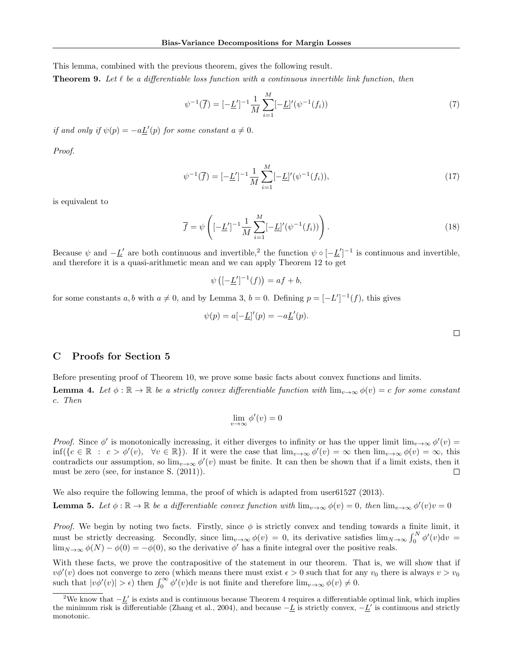This lemma, combined with the previous theorem, gives the following result.

**Theorem 9.** Let  $\ell$  be a differentiable loss function with a continuous invertible link function, then

$$
\psi^{-1}(\overline{f}) = [-\underline{L}']^{-1} \frac{1}{M} \sum_{i=1}^{M} [-\underline{L}]'(\psi^{-1}(f_i))
$$
\n(7)

if and only if  $\psi(p) = -a \underline{L}'(p)$  for some constant  $a \neq 0$ .

Proof.

$$
\psi^{-1}(\overline{f}) = [-\underline{L}']^{-1} \frac{1}{M} \sum_{i=1}^{M} [-\underline{L}]'(\psi^{-1}(f_i)), \tag{17}
$$

is equivalent to

$$
\overline{f} = \psi \left( [-\underline{L}']^{-1} \frac{1}{M} \sum_{i=1}^{M} [-\underline{L}]' (\psi^{-1}(f_i)) \right). \tag{18}
$$

Because  $\psi$  and  $-\underline{L}'$  are both continuous and invertible,<sup>2</sup> the function  $\psi \circ [-\underline{L}']^{-1}$  is continuous and invertible, and therefore it is a quasi-arithmetic mean and we can apply Theorem 12 to get

$$
\psi\left( [-\underline{L}']^{-1}(f) \right) = af + b,
$$

for some constants a, b with  $a \neq 0$ , and by Lemma 3,  $b = 0$ . Defining  $p = [-L']^{-1}(f)$ , this gives

$$
\psi(p) = a[-\underline{L}]'(p) = -a\underline{L}'(p).
$$

### C Proofs for Section 5

Before presenting proof of Theorem 10, we prove some basic facts about convex functions and limits. **Lemma 4.** Let  $\phi : \mathbb{R} \to \mathbb{R}$  be a strictly convex differentiable function with  $\lim_{v\to\infty} \phi(v) = c$  for some constant c. Then

$$
\lim_{v \to \infty} \phi'(v) = 0
$$

Proof. Since  $\phi'$  is monotonically increasing, it either diverges to infinity or has the upper limit  $\lim_{v\to\infty}\phi'(v)$  $\inf({c \in \mathbb{R} : c > \phi'(v), \forall v \in \mathbb{R}}).$  If it were the case that  $\lim_{v\to\infty} \phi'(v) = \infty$  then  $\lim_{v\to\infty} \phi(v) = \infty$ , this contradicts our assumption, so  $\lim_{v\to\infty} \phi'(v)$  must be finite. It can then be shown that if a limit exists, then it must be zero (see, for instance S. (2011)).  $\Box$ 

We also require the following lemma, the proof of which is adapted from user61527 (2013).

**Lemma 5.** Let  $\phi : \mathbb{R} \to \mathbb{R}$  be a differentiable convex function with  $\lim_{v \to \infty} \phi(v) = 0$ , then  $\lim_{v \to \infty} \phi'(v)v = 0$ 

Proof. We begin by noting two facts. Firstly, since  $\phi$  is strictly convex and tending towards a finite limit, it must be strictly decreasing. Secondly, since  $\lim_{v\to\infty}\phi(v) = 0$ , its derivative satisfies  $\lim_{N\to\infty}\int_0^N \phi'(v)dv =$  $\lim_{N\to\infty}\phi(N)-\phi(0)=-\phi(0)$ , so the derivative  $\phi'$  has a finite integral over the positive reals.

With these facts, we prove the contrapositive of the statement in our theorem. That is, we will show that if  $v\phi'(v)$  does not converge to zero (which means there must exist  $\epsilon > 0$  such that for any  $v_0$  there is always  $v > v_0$ such that  $|v\phi'(v)| > \epsilon$ ) then  $\int_0^\infty \phi'(v) dv$  is not finite and therefore  $\lim_{v\to\infty} \phi(v) \neq 0$ .

<sup>&</sup>lt;sup>2</sup>We know that  $-L'$  is exists and is continuous because Theorem 4 requires a differentiable optimal link, which implies the minimum risk is differentiable (Zhang et al., 2004), and because  $-L$  is strictly convex,  $-L'$  is continuous and strictly monotonic.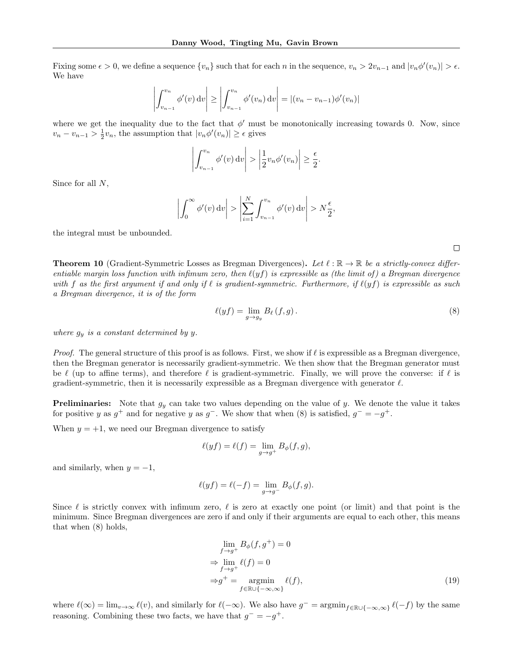Fixing some  $\epsilon > 0$ , we define a sequence  $\{v_n\}$  such that for each n in the sequence,  $v_n > 2v_{n-1}$  and  $|v_n\phi'(v_n)| > \epsilon$ . We have

$$
\left| \int_{v_{n-1}}^{v_n} \phi'(v) dv \right| \ge \left| \int_{v_{n-1}}^{v_n} \phi'(v_n) dv \right| = \left| (v_n - v_{n-1}) \phi'(v_n) \right|
$$

where we get the inequality due to the fact that  $\phi'$  must be monotonically increasing towards 0. Now, since  $v_n - v_{n-1} > \frac{1}{2}v_n$ , the assumption that  $|v_n\phi'(v_n)| \ge \epsilon$  gives

$$
\left| \int_{v_{n-1}}^{v_n} \phi'(v) dv \right| > \left| \frac{1}{2} v_n \phi'(v_n) \right| \ge \frac{\epsilon}{2}.
$$

Since for all N,

$$
\left| \int_0^\infty \phi'(v) \, dv \right| > \left| \sum_{i=1}^N \int_{v_{n-1}}^{v_n} \phi'(v) \, dv \right| > N \frac{\epsilon}{2},
$$

the integral must be unbounded.

**Theorem 10** (Gradient-Symmetric Losses as Bregman Divergences). Let  $\ell : \mathbb{R} \to \mathbb{R}$  be a strictly-convex differentiable margin loss function with infimum zero, then  $\ell(yf)$  is expressible as (the limit of) a Bregman divergence with f as the first argument if and only if  $\ell$  is gradient-symmetric. Furthermore, if  $\ell(yf)$  is expressible as such a Bregman divergence, it is of the form

$$
\ell(yf) = \lim_{g \to g_y} B_\ell(f, g). \tag{8}
$$

where  $g_y$  is a constant determined by y.

*Proof.* The general structure of this proof is as follows. First, we show if  $\ell$  is expressible as a Bregman divergence, then the Bregman generator is necessarily gradient-symmetric. We then show that the Bregman generator must be  $\ell$  (up to affine terms), and therefore  $\ell$  is gradient-symmetric. Finally, we will prove the converse: if  $\ell$  is gradient-symmetric, then it is necessarily expressible as a Bregman divergence with generator  $\ell$ .

**Preliminaries:** Note that  $g_y$  can take two values depending on the value of y. We denote the value it takes for positive y as  $g^+$  and for negative y as  $g^-$ . We show that when (8) is satisfied,  $g^- = -g^+$ .

When  $y = +1$ , we need our Bregman divergence to satisfy

$$
\ell(yf) = \ell(f) = \lim_{g \to g^+} B_{\phi}(f, g),
$$

and similarly, when  $y = -1$ ,

$$
\ell(yf)=\ell(-f)=\lim_{g\to g^-}B_\phi(f,g).
$$

Since  $\ell$  is strictly convex with infimum zero,  $\ell$  is zero at exactly one point (or limit) and that point is the minimum. Since Bregman divergences are zero if and only if their arguments are equal to each other, this means that when (8) holds,

$$
\lim_{f \to g^{+}} B_{\phi}(f, g^{+}) = 0
$$
\n
$$
\Rightarrow \lim_{f \to g^{+}} \ell(f) = 0
$$
\n
$$
\Rightarrow g^{+} = \operatorname*{argmin}_{f \in \mathbb{R} \cup \{-\infty, \infty\}} \ell(f),
$$
\n(19)

where  $\ell(\infty) = \lim_{v \to \infty} \ell(v)$ , and similarly for  $\ell(-\infty)$ . We also have  $g^- = \operatorname{argmin}_{f \in \mathbb{R} \cup \{-\infty, \infty\}} \ell(-f)$  by the same reasoning. Combining these two facts, we have that  $g^- = -g^+$ .

 $\Box$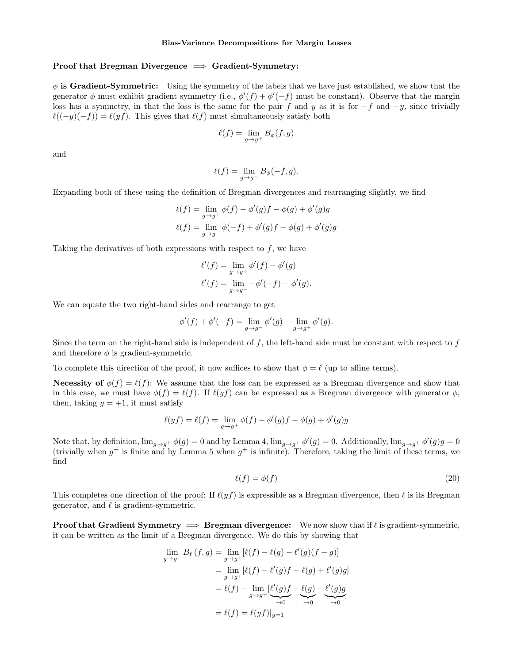### Proof that Bregman Divergence  $\implies$  Gradient-Symmetry:

 $\phi$  is Gradient-Symmetric: Using the symmetry of the labels that we have just established, we show that the generator  $\phi$  must exhibit gradient symmetry (i.e.,  $\phi'(f) + \phi'(-f)$  must be constant). Observe that the margin loss has a symmetry, in that the loss is the same for the pair f and y as it is for  $-f$  and  $-y$ , since trivially  $\ell((-y)(-f)) = \ell(yf)$ . This gives that  $\ell(f)$  must simultaneously satisfy both

$$
\ell(f) = \lim_{g \to g^+} B_{\phi}(f, g)
$$

and

$$
\ell(f) = \lim_{g \to g^-} B_{\phi}(-f, g).
$$

Expanding both of these using the definition of Bregman divergences and rearranging slightly, we find

$$
\ell(f) = \lim_{g \to g^{+}} \phi(f) - \phi'(g)f - \phi(g) + \phi'(g)g
$$
  

$$
\ell(f) = \lim_{g \to g^{-}} \phi(-f) + \phi'(g)f - \phi(g) + \phi'(g)g
$$

Taking the derivatives of both expressions with respect to  $f$ , we have

$$
\ell'(f) = \lim_{g \to g^+} \phi'(f) - \phi'(g)
$$

$$
\ell'(f) = \lim_{g \to g^-} -\phi'(-f) - \phi'(g).
$$

We can equate the two right-hand sides and rearrange to get

$$
\phi'(f) + \phi'(-f) = \lim_{g \to g^{-}} \phi'(g) - \lim_{g \to g^{+}} \phi'(g).
$$

Since the term on the right-hand side is independent of  $f$ , the left-hand side must be constant with respect to  $f$ and therefore  $\phi$  is gradient-symmetric.

To complete this direction of the proof, it now suffices to show that  $\phi = \ell$  (up to affine terms).

**Necessity of**  $\phi(f) = \ell(f)$ : We assume that the loss can be expressed as a Bregman divergence and show that in this case, we must have  $\phi(f) = \ell(f)$ . If  $\ell(yf)$  can be expressed as a Bregman divergence with generator  $\phi$ , then, taking  $y = +1$ , it must satisfy

$$
\ell(yf) = \ell(f) = \lim_{g \to g^+} \phi(f) - \phi'(g)f - \phi(g) + \phi'(g)g
$$

Note that, by definition,  $\lim_{g\to g^+} \phi(g) = 0$  and by Lemma 4,  $\lim_{g\to g^+} \phi'(g) = 0$ . Additionally,  $\lim_{g\to g^+} \phi'(g) = 0$ (trivially when  $g^+$  is finite and by Lemma 5 when  $g^+$  is infinite). Therefore, taking the limit of these terms, we find

$$
\ell(f) = \phi(f) \tag{20}
$$

This completes one direction of the proof: If  $\ell(yf)$  is expressible as a Bregman divergence, then  $\ell$  is its Bregman generator, and  $\ell$  is gradient-symmetric.

**Proof that Gradient Symmetry**  $\implies$  **Bregman divergence:** We now show that if  $\ell$  is gradient-symmetric, it can be written as the limit of a Bregman divergence. We do this by showing that

$$
\lim_{g \to g^{+}} B_{\ell}(f,g) = \lim_{g \to g^{+}} [\ell(f) - \ell(g) - \ell'(g)(f - g)]
$$
  
\n
$$
= \lim_{g \to g^{+}} [\ell(f) - \ell'(g)f - \ell(g) + \ell'(g)g]
$$
  
\n
$$
= \ell(f) - \lim_{g \to g^{+}} \underbrace{[\ell'(g)f}_{\to 0} - \underbrace{\ell(g)}_{\to 0} - \underbrace{\ell'(g)g}_{\to 0}]
$$
  
\n
$$
= \ell(f) = \ell(yf)|_{y=1}
$$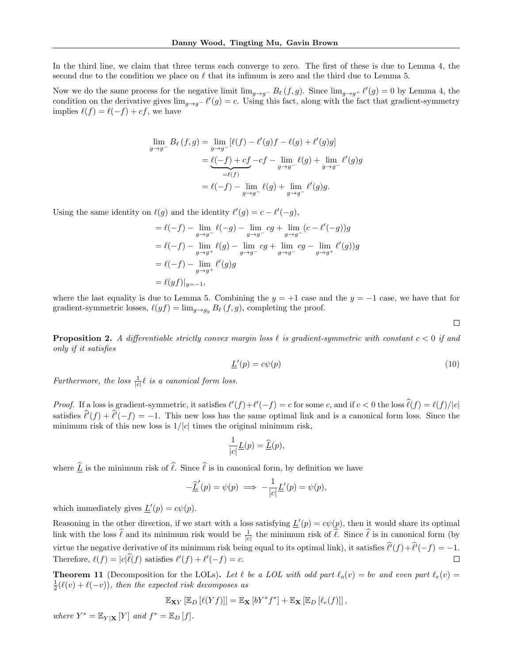In the third line, we claim that three terms each converge to zero. The first of these is due to Lemma 4, the second due to the condition we place on  $\ell$  that its infimum is zero and the third due to Lemma 5.

Now we do the same process for the negative limit  $\lim_{g\to g^-} B_\ell(f, g)$ . Since  $\lim_{g\to g^+} \ell'(g) = 0$  by Lemma 4, the condition on the derivative gives  $\lim_{g\to g^-} \ell'(g) = c$ . Using this fact, along with the fact that gradient-symmetry implies  $\ell(f) = \ell(-f) + cf$ , we have

$$
\lim_{g \to g^{-}} B_{\ell}(f,g) = \lim_{g \to g^{-}} [\ell(f) - \ell'(g)f - \ell(g) + \ell'(g)g]
$$

$$
= \underbrace{\ell(-f) + cf}_{= \ell(f)} - cf - \lim_{g \to g^{-}} \ell(g) + \lim_{g \to g^{-}} \ell'(g)g
$$

$$
= \ell(-f) - \lim_{g \to g^{-}} \ell(g) + \lim_{g \to g^{-}} \ell'(g)g.
$$

Using the same identity on  $\ell(g)$  and the identity  $\ell'(g) = c - \ell'(-g)$ ,

$$
= \ell(-f) - \lim_{g \to g^{-}} \ell(-g) - \lim_{g \to g^{-}} cg + \lim_{g \to g^{-}} (c - \ell'(-g))g
$$
  
=  $\ell(-f) - \lim_{g \to g^{+}} \ell(g) - \lim_{g \to g^{-}} cg + \lim_{g \to g^{-}} cg - \lim_{g \to g^{+}} \ell'(g)g$   
=  $\ell(-f) - \lim_{g \to g^{+}} \ell'(g)g$   
=  $\ell(yf)|_{y=-1}$ ,

where the last equality is due to Lemma 5. Combining the  $y = +1$  case and the  $y = -1$  case, we have that for gradient-symmetric losses,  $\ell(yf) = \lim_{g \to g_y} B_\ell(f, g)$ , completing the proof.

**Proposition 2.** A differentiable strictly convex margin loss  $\ell$  is gradient-symmetric with constant  $c < 0$  if and only if it satisfies

$$
\underline{L}'(p) = c\psi(p) \tag{10}
$$

Furthermore, the loss  $\frac{1}{|c|}\ell$  is a canonical form loss.

*Proof.* If a loss is gradient-symmetric, it satisfies  $\ell'(f) + \ell'(-f) = c$  for some c, and if  $c < 0$  the loss  $\ell(f) = \ell(f)/|c|$ satisfies  $\hat{\ell}'(f) + \hat{\ell}'(-f) = -1$ . This new loss has the same optimal link and is a canonical form loss. Since the minimum risk of this new loss is  $1/|c|$  times the original minimum risk,

$$
\frac{1}{|c|}\underline{L}(p) = \underline{\widehat{L}}(p),
$$

where  $\underline{\hat{L}}$  is the minimum risk of  $\hat{\ell}$ . Since  $\hat{\ell}$  is in canonical form, by definition we have

$$
-\underline{\widehat{L}}'(p) = \psi(p) \implies -\frac{1}{|c|} \underline{L}'(p) = \psi(p),
$$

which immediately gives  $\underline{L}'(p) = c\psi(p)$ .

Reasoning in the other direction, if we start with a loss satisfying  $\underline{L}'(p) = c\psi(p)$ , then it would share its optimal link with the loss  $\hat{\ell}$  and its minimum risk would be  $\frac{1}{|c|}$  the minimum risk of  $\hat{\ell}$ . Since  $\hat{\ell}$  is in canonical form (by virtue the negative derivative of its minimum risk being equal to its optimal link), it satisfies  $\hat{\ell}'(f) + \hat{\ell}'(-f) = -1$ . Therefore,  $\ell(f) = |c|\widehat{\ell}(f)$  satisfies  $\ell'(f) + \ell'(-f) = c$ . П

**Theorem 11** (Decomposition for the LOLs). Let  $\ell$  be a LOL with odd part  $\ell_o(v) = bv$  and even part  $\ell_e(v) =$  $\frac{1}{2}(\ell(v) + \ell(-v))$ , then the expected risk decomposes as

$$
\mathbb{E}_{\mathbf{X} Y}\left[\mathbb{E}_{D}\left[\ell(Y f)\right]\right] = \mathbb{E}_{\mathbf{X}}\left[bY^* f^*\right] + \mathbb{E}_{\mathbf{X}}\left[\mathbb{E}_{D}\left[\ell_e(f)\right]\right],
$$

where  $Y^* = \mathbb{E}_{Y|\mathbf{X}}[Y]$  and  $f^* = \mathbb{E}_D[f]$ .

 $\Box$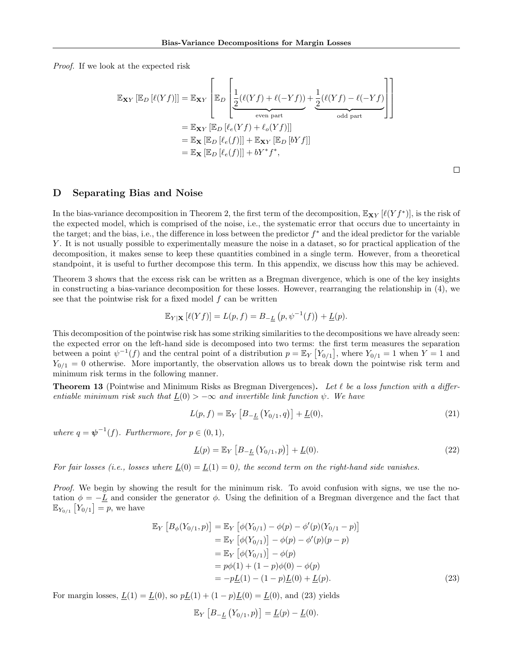Proof. If we look at the expected risk

$$
\mathbb{E}_{\mathbf{X}Y} [\mathbb{E}_D [\ell(Yf)]] = \mathbb{E}_{\mathbf{X}Y} \left[ \mathbb{E}_D \left[ \underbrace{\frac{1}{2} (\ell(Yf) + \ell(-Yf))}_{\text{even part}} + \underbrace{\frac{1}{2} (\ell(Yf) - \ell(-Yf))}_{\text{odd part}} \right] \right]
$$
\n
$$
= \mathbb{E}_{\mathbf{X}Y} [\mathbb{E}_D [\ell_e(Yf) + \ell_o(Yf)]]
$$
\n
$$
= \mathbb{E}_{\mathbf{X}} [\mathbb{E}_D [\ell_e(f)]] + \mathbb{E}_{\mathbf{X}Y} [\mathbb{E}_D [bYf]]
$$
\n
$$
= \mathbb{E}_{\mathbf{X}} [\mathbb{E}_D [\ell_e(f)]] + bY^* f^*,
$$

 $\Box$ 

## D Separating Bias and Noise

In the bias-variance decomposition in Theorem 2, the first term of the decomposition,  $\mathbb{E}_{\mathbf{X}Y}[\ell(Yf^*)]$ , is the risk of the expected model, which is comprised of the noise, i.e., the systematic error that occurs due to uncertainty in the target; and the bias, i.e., the difference in loss between the predictor  $f^*$  and the ideal predictor for the variable Y . It is not usually possible to experimentally measure the noise in a dataset, so for practical application of the decomposition, it makes sense to keep these quantities combined in a single term. However, from a theoretical standpoint, it is useful to further decompose this term. In this appendix, we discuss how this may be achieved.

Theorem 3 shows that the excess risk can be written as a Bregman divergence, which is one of the key insights in constructing a bias-variance decomposition for these losses. However, rearranging the relationship in (4), we see that the pointwise risk for a fixed model  $f$  can be written

$$
\mathbb{E}_{Y|\mathbf{X}}\left[\ell(Yf)\right] = L(p, f) = B_{-\underline{L}}\left(p, \psi^{-1}(f)\right) + \underline{L}(p).
$$

This decomposition of the pointwise risk has some striking similarities to the decompositions we have already seen: the expected error on the left-hand side is decomposed into two terms: the first term measures the separation between a point  $\psi^{-1}(f)$  and the central point of a distribution  $p = \mathbb{E}_Y [Y_{0/1}]$ , where  $Y_{0/1} = 1$  when  $Y = 1$  and  $Y_{0/1} = 0$  otherwise. More importantly, the observation allows us to break down the pointwise risk term and minimum risk terms in the following manner.

**Theorem 13** (Pointwise and Minimum Risks as Bregman Divergences). Let  $\ell$  be a loss function with a differentiable minimum risk such that  $\underline{L}(0) > -\infty$  and invertible link function  $\psi$ . We have

$$
L(p, f) = \mathbb{E}_Y \left[ B_{-\underline{L}} \left( Y_{0/1}, q \right) \right] + \underline{L}(0), \tag{21}
$$

where  $q = \psi^{-1}(f)$ . Furthermore, for  $p \in (0, 1)$ ,

$$
\underline{L}(p) = \mathbb{E}_Y \left[ B_{-\underline{L}} \left( Y_{0/1}, p \right) \right] + \underline{L}(0). \tag{22}
$$

For fair losses (i.e., losses where  $L(0) = L(1) = 0$ ), the second term on the right-hand side vanishes.

Proof. We begin by showing the result for the minimum risk. To avoid confusion with signs, we use the notation  $\phi = -L$  and consider the generator  $\phi$ . Using the definition of a Bregman divergence and the fact that  $\mathbb{E}_{Y_{0/1}} [Y_{0/1}] = p$ , we have

$$
\mathbb{E}_Y [B_{\phi}(Y_{0/1}, p)] = \mathbb{E}_Y [\phi(Y_{0/1}) - \phi(p) - \phi'(p)(Y_{0/1} - p)]
$$
  
\n
$$
= \mathbb{E}_Y [\phi(Y_{0/1})] - \phi(p) - \phi'(p)(p - p)
$$
  
\n
$$
= \mathbb{E}_Y [\phi(Y_{0/1})] - \phi(p)
$$
  
\n
$$
= p\phi(1) + (1 - p)\phi(0) - \phi(p)
$$
  
\n
$$
= -p\underline{L}(1) - (1 - p)\underline{L}(0) + \underline{L}(p).
$$
\n(23)

For margin losses,  $\underline{L}(1) = \underline{L}(0)$ , so  $p\underline{L}(1) + (1 - p)\underline{L}(0) = \underline{L}(0)$ , and (23) yields

$$
\mathbb{E}_Y \left[ B_{-\underline{L}} \left( Y_{0/1}, p \right) \right] = \underline{L}(p) - \underline{L}(0).
$$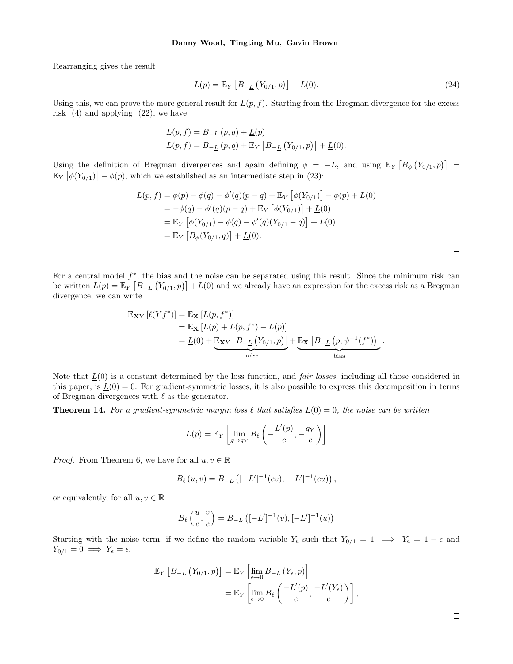Rearranging gives the result

$$
\underline{L}(p) = \mathbb{E}_Y \left[ B_{-\underline{L}} \left( Y_{0/1}, p \right) \right] + \underline{L}(0). \tag{24}
$$

Using this, we can prove the more general result for  $L(p, f)$ . Starting from the Bregman divergence for the excess risk (4) and applying (22), we have

$$
L(p, f) = B_{-\underline{L}}(p, q) + \underline{L}(p)
$$
  

$$
L(p, f) = B_{-\underline{L}}(p, q) + \mathbb{E}_Y [B_{-\underline{L}}(Y_{0/1}, p)] + \underline{L}(0).
$$

Using the definition of Bregman divergences and again defining  $\phi = -L$ , and using  $\mathbb{E}_Y [B_\phi(Y_{0/1}, p)] =$  $\mathbb{E}_Y \left[ \phi(Y_{0/1}) \right] - \phi(p)$ , which we established as an intermediate step in (23):

$$
L(p, f) = \phi(p) - \phi(q) - \phi'(q)(p - q) + \mathbb{E}_Y \left[ \phi(Y_{0/1}) \right] - \phi(p) + \underline{L}(0)
$$
  
=  $-\phi(q) - \phi'(q)(p - q) + \mathbb{E}_Y \left[ \phi(Y_{0/1}) \right] + \underline{L}(0)$   
=  $\mathbb{E}_Y \left[ \phi(Y_{0/1}) - \phi(q) - \phi'(q)(Y_{0/1} - q) \right] + \underline{L}(0)$   
=  $\mathbb{E}_Y \left[ B_{\phi}(Y_{0/1}, q) \right] + \underline{L}(0).$ 

For a central model  $f^*$ , the bias and the noise can be separated using this result. Since the minimum risk can be written  $\underline{L}(p) = \mathbb{E}_Y [B_{-\underline{L}} (Y_{0/1}, p)] + \underline{L}(0)$  and we already have an expression for the excess risk as a Bregman divergence, we can write

$$
\mathbb{E}_{\mathbf{X}Y} [\ell(Yf^*)] = \mathbb{E}_{\mathbf{X}} [L(p, f^*)]
$$
  
=  $\mathbb{E}_{\mathbf{X}} [L(p) + L(p, f^*) - L(p)]$   
=  $L(0) + \underbrace{\mathbb{E}_{\mathbf{X}Y} [B_{-\underline{L}} (Y_{0/1}, p)]}_{\text{noise}} + \underbrace{\mathbb{E}_{\mathbf{X}} [B_{-\underline{L}} (p, \psi^{-1}(f^*))]}_{\text{bias}}.$ 

Note that  $L(0)$  is a constant determined by the loss function, and *fair losses*, including all those considered in this paper, is  $\underline{L}(0) = 0$ . For gradient-symmetric losses, it is also possible to express this decomposition in terms of Bregman divergences with  $\ell$  as the generator.

**Theorem 14.** For a gradient-symmetric margin loss  $\ell$  that satisfies  $\underline{L}(0) = 0$ , the noise can be written

$$
\underline{L}(p) = \mathbb{E}_Y \left[ \lim_{g \to g_Y} B_\ell \left( -\frac{\underline{L}'(p)}{c}, -\frac{g_Y}{c} \right) \right]
$$

*Proof.* From Theorem 6, we have for all  $u, v \in \mathbb{R}$ 

$$
B_{\ell}(u,v) = B_{-\underline{L}}\left([-L']^{-1}(cv), [-L']^{-1}(cu)\right),
$$

or equivalently, for all  $u, v \in \mathbb{R}$ 

$$
B_{\ell}\left(\frac{u}{c},\frac{v}{c}\right) = B_{-\underline{L}}\left([-L']^{-1}(v),[-L']^{-1}(u)\right)
$$

Starting with the noise term, if we define the random variable  $Y_{\epsilon}$  such that  $Y_{0/1} = 1 \implies Y_{\epsilon} = 1 - \epsilon$  and  $Y_{0/1} = 0 \implies Y_{\epsilon} = \epsilon,$ 

$$
\mathbb{E}_Y \left[ B_{-\underline{L}} \left( Y_{0/1}, p \right) \right] = \mathbb{E}_Y \left[ \lim_{\epsilon \to 0} B_{-\underline{L}} \left( Y_{\epsilon}, p \right) \right]
$$
  
= 
$$
\mathbb{E}_Y \left[ \lim_{\epsilon \to 0} B_{\ell} \left( \frac{-\underline{L}'(p)}{c}, \frac{-\underline{L}'(Y_{\epsilon})}{c} \right) \right],
$$

 $\Box$ 

 $\Box$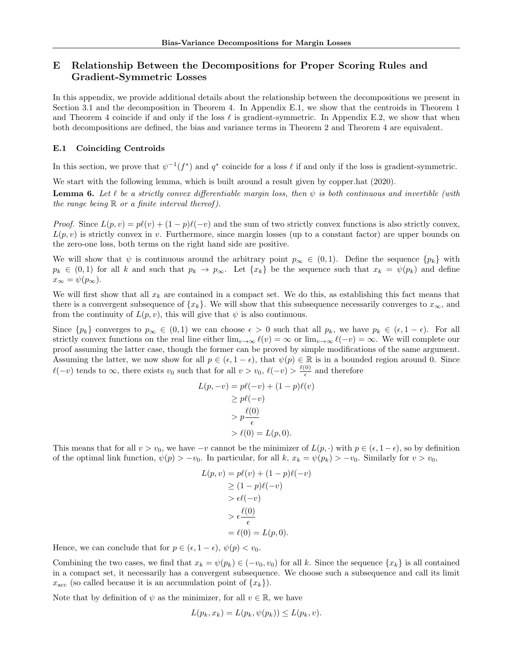## E Relationship Between the Decompositions for Proper Scoring Rules and Gradient-Symmetric Losses

In this appendix, we provide additional details about the relationship between the decompositions we present in Section 3.1 and the decomposition in Theorem 4. In Appendix E.1, we show that the centroids in Theorem 1 and Theorem 4 coincide if and only if the loss  $\ell$  is gradient-symmetric. In Appendix E.2, we show that when both decompositions are defined, the bias and variance terms in Theorem 2 and Theorem 4 are equivalent.

### E.1 Coinciding Centroids

In this section, we prove that  $\psi^{-1}(f^*)$  and  $q^*$  coincide for a loss  $\ell$  if and only if the loss is gradient-symmetric.

We start with the following lemma, which is built around a result given by copper.hat (2020).

**Lemma 6.** Let  $\ell$  be a strictly convex differentiable margin loss, then  $\psi$  is both continuous and invertible (with the range being  $\mathbb R$  or a finite interval thereof).

*Proof.* Since  $L(p, v) = p\ell(v) + (1 - p)\ell(-v)$  and the sum of two strictly convex functions is also strictly convex,  $L(p, v)$  is strictly convex in v. Furthermore, since margin losses (up to a constant factor) are upper bounds on the zero-one loss, both terms on the right hand side are positive.

We will show that  $\psi$  is continuous around the arbitrary point  $p_{\infty} \in (0,1)$ . Define the sequence  $\{p_k\}$  with  $p_k \in (0,1)$  for all k and such that  $p_k \to p_\infty$ . Let  $\{x_k\}$  be the sequence such that  $x_k = \psi(p_k)$  and define  $x_{\infty} = \psi(p_{\infty}).$ 

We will first show that all  $x_k$  are contained in a compact set. We do this, as establishing this fact means that there is a convergent subsequence of  $\{x_k\}$ . We will show that this subsequence necessarily converges to  $x_{\infty}$ , and from the continuity of  $L(p, v)$ , this will give that  $\psi$  is also continuous.

Since  $\{p_k\}$  converges to  $p_\infty \in (0,1)$  we can choose  $\epsilon > 0$  such that all  $p_k$ , we have  $p_k \in (\epsilon, 1 - \epsilon)$ . For all strictly convex functions on the real line either  $\lim_{v\to\infty} \ell(v) = \infty$  or  $\lim_{v\to\infty} \ell(-v) = \infty$ . We will complete our proof assuming the latter case, though the former can be proved by simple modifications of the same argument. Assuming the latter, we now show for all  $p \in (\epsilon, 1 - \epsilon)$ , that  $\psi(p) \in \mathbb{R}$  is in a bounded region around 0. Since  $\ell(-v)$  tends to  $\infty$ , there exists  $v_0$  such that for all  $v > v_0$ ,  $\ell(-v) > \frac{\ell(0)}{\epsilon}$  $\frac{0}{\epsilon}$  and therefore

$$
L(p, -v) = p\ell(-v) + (1 - p)\ell(v)
$$
  
\n
$$
\ge p\ell(-v)
$$
  
\n
$$
> p\frac{\ell(0)}{\epsilon}
$$
  
\n
$$
> \ell(0) = L(p, 0).
$$

This means that for all  $v > v_0$ , we have  $-v$  cannot be the minimizer of  $L(p, \cdot)$  with  $p \in (\epsilon, 1 - \epsilon)$ , so by definition of the optimal link function,  $\psi(p) > -v_0$ . In particular, for all k,  $x_k = \psi(p_k) > -v_0$ . Similarly for  $v > v_0$ ,

$$
L(p, v) = p\ell(v) + (1 - p)\ell(-v)
$$
  
\n
$$
\geq (1 - p)\ell(-v)
$$
  
\n
$$
> \epsilon\ell(-v)
$$
  
\n
$$
> \epsilon\frac{\ell(0)}{\epsilon}
$$
  
\n
$$
= \ell(0) = L(p, 0).
$$

Hence, we can conclude that for  $p \in (\epsilon, 1 - \epsilon)$ ,  $\psi(p) < v_0$ .

Combining the two cases, we find that  $x_k = \psi(p_k) \in (-v_0, v_0)$  for all k. Since the sequence  $\{x_k\}$  is all contained in a compact set, it necessarily has a convergent subsequence. We choose such a subsequence and call its limit  $x_{\text{acc}}$  (so called because it is an accumulation point of  $\{x_k\}$ ).

Note that by definition of  $\psi$  as the minimizer, for all  $v \in \mathbb{R}$ , we have

$$
L(p_k, x_k) = L(p_k, \psi(p_k)) \le L(p_k, v).
$$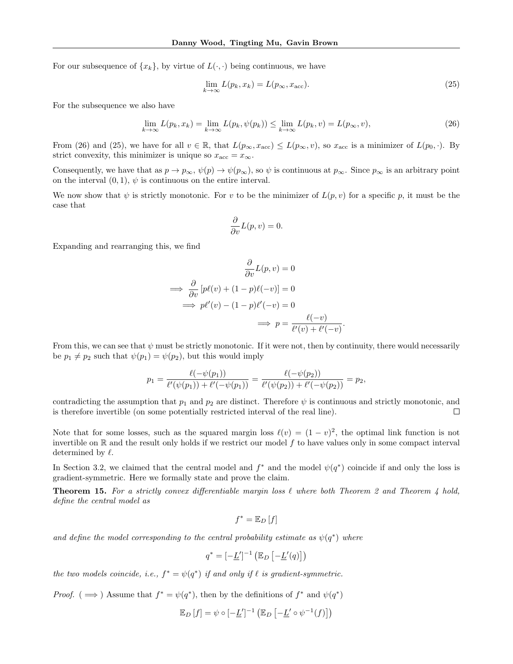For our subsequence of  $\{x_k\}$ , by virtue of  $L(\cdot, \cdot)$  being continuous, we have

$$
\lim_{k \to \infty} L(p_k, x_k) = L(p_\infty, x_{\text{acc}}). \tag{25}
$$

.

For the subsequence we also have

$$
\lim_{k \to \infty} L(p_k, x_k) = \lim_{k \to \infty} L(p_k, \psi(p_k)) \le \lim_{k \to \infty} L(p_k, v) = L(p_\infty, v),\tag{26}
$$

From (26) and (25), we have for all  $v \in \mathbb{R}$ , that  $L(p_{\infty}, x_{\text{acc}}) \le L(p_{\infty}, v)$ , so  $x_{\text{acc}}$  is a minimizer of  $L(p_0, \cdot)$ . By strict convexity, this minimizer is unique so  $x_{\text{acc}} = x_{\infty}$ .

Consequently, we have that as  $p \to p_{\infty}$ ,  $\psi(p) \to \psi(p_{\infty})$ , so  $\psi$  is continuous at  $p_{\infty}$ . Since  $p_{\infty}$  is an arbitrary point on the interval  $(0, 1)$ ,  $\psi$  is continuous on the entire interval.

We now show that  $\psi$  is strictly monotonic. For v to be the minimizer of  $L(p, v)$  for a specific p, it must be the case that

$$
\frac{\partial}{\partial v}L(p,v) = 0.
$$

Expanding and rearranging this, we find

$$
\frac{\partial}{\partial v}L(p, v) = 0
$$
  
\n
$$
\implies \frac{\partial}{\partial v}[p\ell(v) + (1 - p)\ell(-v)] = 0
$$
  
\n
$$
\implies p\ell'(v) - (1 - p)\ell'(-v) = 0
$$
  
\n
$$
\implies p = \frac{\ell(-v)}{\ell'(v) + \ell'(-v)}
$$

From this, we can see that  $\psi$  must be strictly monotonic. If it were not, then by continuity, there would necessarily be  $p_1 \neq p_2$  such that  $\psi(p_1) = \psi(p_2)$ , but this would imply

$$
p_1 = \frac{\ell(-\psi(p_1))}{\ell'(\psi(p_1)) + \ell'(-\psi(p_1))} = \frac{\ell(-\psi(p_2))}{\ell'(\psi(p_2)) + \ell'(-\psi(p_2))} = p_2,
$$

contradicting the assumption that  $p_1$  and  $p_2$  are distinct. Therefore  $\psi$  is continuous and strictly monotonic, and is therefore invertible (on some potentially restricted interval of the real line).  $\Box$ 

Note that for some losses, such as the squared margin loss  $\ell(v) = (1 - v)^2$ , the optimal link function is not invertible on  $\mathbb R$  and the result only holds if we restrict our model f to have values only in some compact interval determined by  $\ell$ .

In Section 3.2, we claimed that the central model and  $f^*$  and the model  $\psi(q^*)$  coincide if and only the loss is gradient-symmetric. Here we formally state and prove the claim.

**Theorem 15.** For a strictly convex differentiable margin loss  $\ell$  where both Theorem 2 and Theorem 4 hold, define the central model as

$$
f^* = \mathbb{E}_D[f]
$$

and define the model corresponding to the central probability estimate as  $\psi(q^*)$  where

$$
q^* = [-\underline{L}']^{-1} \left( \mathbb{E}_D \left[ -\underline{L}'(q) \right] \right)
$$

the two models coincide, i.e.,  $f^* = \psi(q^*)$  if and only if  $\ell$  is gradient-symmetric.

*Proof.* ( $\implies$ ) Assume that  $f^* = \psi(q^*)$ , then by the definitions of  $f^*$  and  $\psi(q^*)$ 

$$
\mathbb{E}_D[f] = \psi \circ [-\underline{L}']^{-1} \left( \mathbb{E}_D \left[ -\underline{L}' \circ \psi^{-1}(f) \right] \right)
$$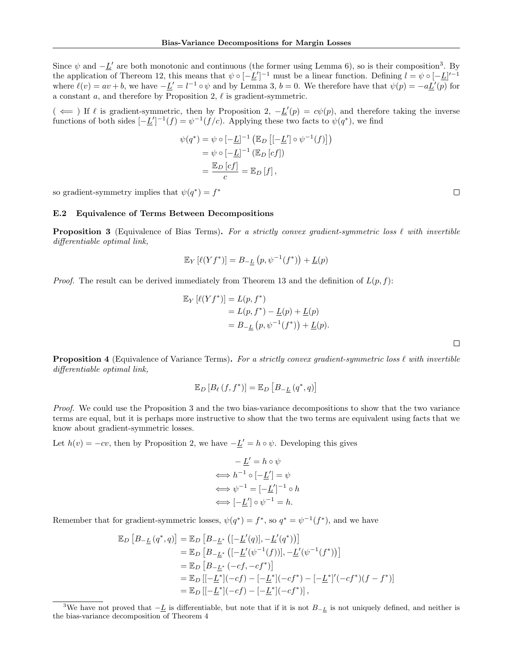Since  $\psi$  and  $-\underline{L}'$  are both monotonic and continuous (the former using Lemma 6), so is their composition<sup>3</sup>. By the application of Thereom 12, this means that  $\psi \circ [-\underline{L}']^{-1}$  must be a linear function. Defining  $l = \psi \circ [-\underline{L}]^{-1}$ where  $\ell(v) = av + b$ , we have  $-\underline{L}' = l^{-1} \circ \psi$  and by Lemma 3,  $b = 0$ . We therefore have that  $\psi(p) = -a\underline{L}'(p)$  for a constant  $a$ , and therefore by Proposition 2,  $\ell$  is gradient-symmetric.

 $(\iff)$  If  $\ell$  is gradient-symmetric, then by Proposition 2,  $-\underline{L}'(p) = c\psi(p)$ , and therefore taking the inverse functions of both sides  $[-\underline{L}']^{-1}(f) = \psi^{-1}(f/c)$ . Applying these two facts to  $\psi(q^*)$ , we find

$$
\psi(q^*) = \psi \circ [-\underline{L}]^{-1} \left( \mathbb{E}_D \left[ [-\underline{L}'] \circ \psi^{-1}(f) \right] \right)
$$

$$
= \psi \circ [-\underline{L}]^{-1} \left( \mathbb{E}_D \left[ cf \right] \right)
$$

$$
= \frac{\mathbb{E}_D \left[ cf \right]}{c} = \mathbb{E}_D \left[ f \right],
$$

so gradient-symmetry implies that  $\psi(q^*) = f^*$ 

#### E.2 Equivalence of Terms Between Decompositions

**Proposition 3** (Equivalence of Bias Terms). For a strictly convex gradient-symmetric loss  $\ell$  with invertible differentiable optimal link,

$$
\mathbb{E}_Y \left[ \ell(Yf^*) \right] = B_{-\underline{L}} \left( p, \psi^{-1}(f^*) \right) + \underline{L}(p)
$$

*Proof.* The result can be derived immediately from Theorem 13 and the definition of  $L(p, f)$ :

$$
\mathbb{E}_Y \left[ \ell(Yf^*) \right] = L(p, f^*)
$$
  
= L(p, f^\*) - L(p) + L(p)  
= B\_{-L}(p, \psi^{-1}(f^\*)) + L(p).

 $\Box$ 

**Proposition 4** (Equivalence of Variance Terms). For a strictly convex gradient-symmetric loss  $\ell$  with invertible differentiable optimal link,

$$
\mathbb{E}_{D}\left[B_{\ell}\left(f,f^{*}\right)\right]=\mathbb{E}_{D}\left[B_{-\underline{L}}\left(q^{*},q\right)\right]
$$

Proof. We could use the Proposition 3 and the two bias-variance decompositions to show that the two variance terms are equal, but it is perhaps more instructive to show that the two terms are equivalent using facts that we know about gradient-symmetric losses.

Let  $h(v) = -cv$ , then by Proposition 2, we have  $-\underline{L}' = h \circ \psi$ . Developing this gives

$$
-\underline{L}' = h \circ \psi
$$
  
\n
$$
\iff h^{-1} \circ [-\underline{L}'] = \psi
$$
  
\n
$$
\iff \psi^{-1} = [-\underline{L}']^{-1} \circ h
$$
  
\n
$$
\iff [-\underline{L}'] \circ \psi^{-1} = h.
$$

Remember that for gradient-symmetric losses,  $\psi(q^*) = f^*$ , so  $q^* = \psi^{-1}(f^*)$ , and we have

$$
\mathbb{E}_D [B_{-\underline{L}}(q^*, q)] = \mathbb{E}_D [B_{-\underline{L}^*} ([-\underline{L}'(q)], -\underline{L}'(q^*))]
$$
  
\n
$$
= \mathbb{E}_D [B_{-\underline{L}^*} ([-\underline{L}'(\psi^{-1}(f))], -\underline{L}'(\psi^{-1}(f^*))]
$$
  
\n
$$
= \mathbb{E}_D [B_{-\underline{L}^*} (-cf, -cf^*)]
$$
  
\n
$$
= \mathbb{E}_D [[-\underline{L}^*](-cf) - [-\underline{L}^*](-cf^*) - [-\underline{L}^*]'(-cf^*)(f - f^*)]
$$
  
\n
$$
= \mathbb{E}_D [[-\underline{L}^*](-cf) - [-\underline{L}^*](-cf^*)],
$$

 $\Box$ 

<sup>&</sup>lt;sup>3</sup>We have not proved that  $-L$  is differentiable, but note that if it is not  $B_{-L}$  is not uniquely defined, and neither is the bias-variance decomposition of Theorem 4